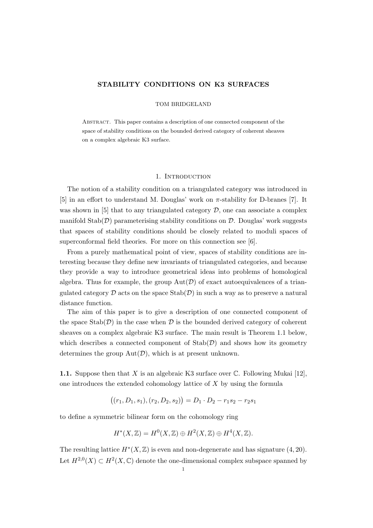### STABILITY CONDITIONS ON K3 SURFACES

### TOM BRIDGELAND

Abstract. This paper contains a description of one connected component of the space of stability conditions on the bounded derived category of coherent sheaves on a complex algebraic K3 surface.

### 1. Introduction

The notion of a stability condition on a triangulated category was introduced in [5] in an effort to understand M. Douglas' work on  $\pi$ -stability for D-branes [7]. It was shown in [5] that to any triangulated category  $\mathcal{D}$ , one can associate a complex manifold  $Stab(\mathcal{D})$  parameterising stability conditions on  $\mathcal{D}$ . Douglas' work suggests that spaces of stability conditions should be closely related to moduli spaces of superconformal field theories. For more on this connection see [6].

From a purely mathematical point of view, spaces of stability conditions are interesting because they define new invariants of triangulated categories, and because they provide a way to introduce geometrical ideas into problems of homological algebra. Thus for example, the group  $Aut(\mathcal{D})$  of exact autoequivalences of a triangulated category  $\mathcal D$  acts on the space  $\text{Stab}(\mathcal D)$  in such a way as to preserve a natural distance function.

The aim of this paper is to give a description of one connected component of the space  $\text{Stab}(\mathcal{D})$  in the case when  $\mathcal D$  is the bounded derived category of coherent sheaves on a complex algebraic K3 surface. The main result is Theorem 1.1 below, which describes a connected component of  $\text{Stab}(\mathcal{D})$  and shows how its geometry determines the group  $Aut(D)$ , which is at present unknown.

**1.1.** Suppose then that X is an algebraic K3 surface over  $\mathbb{C}$ . Following Mukai [12], one introduces the extended cohomology lattice of X by using the formula

$$
((r_1, D_1, s_1), (r_2, D_2, s_2)) = D_1 \cdot D_2 - r_1 s_2 - r_2 s_1
$$

to define a symmetric bilinear form on the cohomology ring

¡

$$
H^*(X,\mathbb{Z}) = H^0(X,\mathbb{Z}) \oplus H^2(X,\mathbb{Z}) \oplus H^4(X,\mathbb{Z}).
$$

The resulting lattice  $H^*(X, \mathbb{Z})$  is even and non-degenerate and has signature  $(4, 20)$ . Let  $H^{2,0}(X) \subset H^2(X,\mathbb{C})$  denote the one-dimensional complex subspace spanned by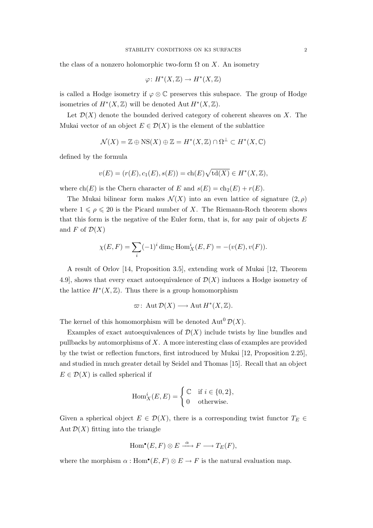the class of a nonzero holomorphic two-form  $\Omega$  on X. An isometry

$$
\varphi\colon H^*(X,\mathbb{Z})\to H^*(X,\mathbb{Z})
$$

is called a Hodge isometry if  $\varphi \otimes \mathbb{C}$  preserves this subspace. The group of Hodge isometries of  $H^*(X,\mathbb{Z})$  will be denoted Aut  $H^*(X,\mathbb{Z})$ .

Let  $\mathcal{D}(X)$  denote the bounded derived category of coherent sheaves on X. The Mukai vector of an object  $E \in \mathcal{D}(X)$  is the element of the sublattice

$$
\mathcal{N}(X) = \mathbb{Z} \oplus \text{NS}(X) \oplus \mathbb{Z} = H^*(X, \mathbb{Z}) \cap \Omega^{\perp} \subset H^*(X, \mathbb{C})
$$

defined by the formula

$$
v(E) = (r(E), c_1(E), s(E)) = ch(E)\sqrt{td(X)} \in H^*(X, \mathbb{Z}),
$$

where  $ch(E)$  is the Chern character of E and  $s(E) = ch_2(E) + r(E)$ .

The Mukai bilinear form makes  $\mathcal{N}(X)$  into an even lattice of signature  $(2, \rho)$ where  $1 \leq \rho \leq 20$  is the Picard number of X. The Riemann-Roch theorem shows that this form is the negative of the Euler form, that is, for any pair of objects  $E$ and F of  $\mathcal{D}(X)$ 

$$
\chi(E, F) = \sum_{i} (-1)^{i} \dim_{\mathbb{C}} \text{Hom}_{X}^{i}(E, F) = -(v(E), v(F)).
$$

A result of Orlov [14, Proposition 3.5], extending work of Mukai [12, Theorem 4.9], shows that every exact autoequivalence of  $\mathcal{D}(X)$  induces a Hodge isometry of the lattice  $H^*(X, \mathbb{Z})$ . Thus there is a group homomorphism

$$
\varpi\colon \operatorname{Aut}\mathcal{D}(X)\longrightarrow \operatorname{Aut}H^*(X,\mathbb{Z}).
$$

The kernel of this homomorphism will be denoted  $\text{Aut}^0 \mathcal{D}(X)$ .

Examples of exact autoequivalences of  $\mathcal{D}(X)$  include twists by line bundles and pullbacks by automorphisms of X. A more interesting class of examples are provided by the twist or reflection functors, first introduced by Mukai [12, Proposition 2.25], and studied in much greater detail by Seidel and Thomas [15]. Recall that an object  $E \in \mathcal{D}(X)$  is called spherical if

$$
\operatorname{Hom}^i_X(E,E) = \begin{cases} \mathbb{C} & \text{if } i \in \{0,2\}, \\ 0 & \text{otherwise.} \end{cases}
$$

Given a spherical object  $E \in \mathcal{D}(X)$ , there is a corresponding twist functor  $T_E \in$ Aut  $\mathcal{D}(X)$  fitting into the triangle

$$
\mathrm{Hom}^\bullet(E,F)\otimes E \xrightarrow{\alpha} F \longrightarrow T_E(F),
$$

where the morphism  $\alpha: \text{Hom}^{\bullet}(E, F) \otimes E \to F$  is the natural evaluation map.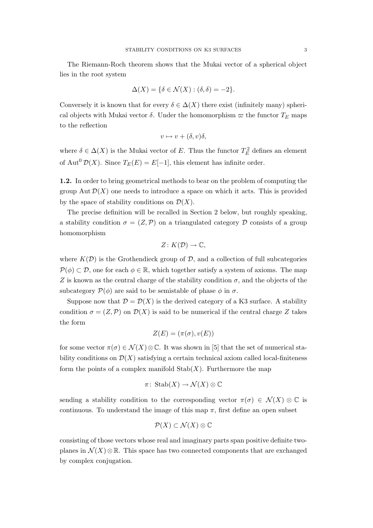The Riemann-Roch theorem shows that the Mukai vector of a spherical object lies in the root system

$$
\Delta(X) = \{ \delta \in \mathcal{N}(X) : (\delta, \delta) = -2 \}.
$$

Conversely it is known that for every  $\delta \in \Delta(X)$  there exist (infinitely many) spherical objects with Mukai vector  $\delta$ . Under the homomorphism  $\varpi$  the functor  $T_E$  maps to the reflection

$$
v \mapsto v + (\delta, v)\delta,
$$

where  $\delta \in \Delta(X)$  is the Mukai vector of E. Thus the functor  $T_E^2$  defines an element of Aut<sup>0</sup>  $\mathcal{D}(X)$ . Since  $T_E(E) = E[-1]$ , this element has infinite order.

1.2. In order to bring geometrical methods to bear on the problem of computing the group Aut  $\mathcal{D}(X)$  one needs to introduce a space on which it acts. This is provided by the space of stability conditions on  $\mathcal{D}(X)$ .

The precise definition will be recalled in Section 2 below, but roughly speaking, a stability condition  $\sigma = (Z, \mathcal{P})$  on a triangulated category  $\mathcal D$  consists of a group homomorphism

$$
Z\colon K(\mathcal{D})\to\mathbb{C},
$$

where  $K(\mathcal{D})$  is the Grothendieck group of  $\mathcal{D}$ , and a collection of full subcategories  $\mathcal{P}(\phi) \subset \mathcal{D}$ , one for each  $\phi \in \mathbb{R}$ , which together satisfy a system of axioms. The map Z is known as the central charge of the stability condition  $\sigma$ , and the objects of the subcategory  $\mathcal{P}(\phi)$  are said to be semistable of phase  $\phi$  in  $\sigma$ .

Suppose now that  $\mathcal{D} = \mathcal{D}(X)$  is the derived category of a K3 surface. A stability condition  $\sigma = (Z, \mathcal{P})$  on  $\mathcal{D}(X)$  is said to be numerical if the central charge Z takes the form

$$
Z(E) = (\pi(\sigma), v(E))
$$

for some vector  $\pi(\sigma) \in \mathcal{N}(X) \otimes \mathbb{C}$ . It was shown in [5] that the set of numerical stability conditions on  $\mathcal{D}(X)$  satisfying a certain technical axiom called local-finiteness form the points of a complex manifold  $\text{Stab}(X)$ . Furthermore the map

$$
\pi\colon\operatorname{Stab}(X)\to\mathcal{N}(X)\otimes\mathbb{C}
$$

sending a stability condition to the corresponding vector  $\pi(\sigma) \in \mathcal{N}(X) \otimes \mathbb{C}$  is continuous. To understand the image of this map  $\pi$ , first define an open subset

$$
\mathcal{P}(X) \subset \mathcal{N}(X) \otimes \mathbb{C}
$$

consisting of those vectors whose real and imaginary parts span positive definite twoplanes in  $\mathcal{N}(X) \otimes \mathbb{R}$ . This space has two connected components that are exchanged by complex conjugation.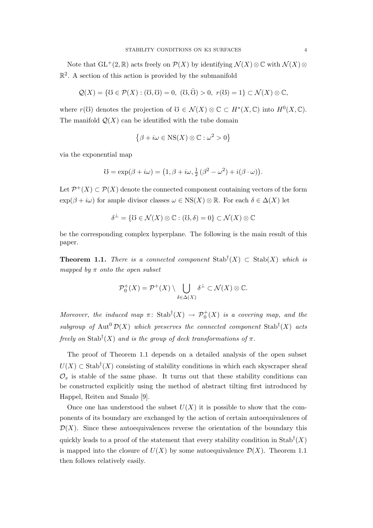Note that  $GL^+(2,\mathbb{R})$  acts freely on  $\mathcal{P}(X)$  by identifying  $\mathcal{N}(X)\otimes\mathbb{C}$  with  $\mathcal{N}(X)\otimes\mathbb{C}$  $\mathbb{R}^2$ . A section of this action is provided by the submanifold

$$
\mathcal{Q}(X) = \{ \mathcal{U} \in \mathcal{P}(X) : (\mathcal{U}, \mathcal{U}) = 0, \ (\mathcal{U}, \overline{\mathcal{U}}) > 0, \ r(\mathcal{U}) = 1 \} \subset \mathcal{N}(X) \otimes \mathbb{C},
$$

where  $r(\mathcal{V})$  denotes the projection of  $\mathcal{V} \in \mathcal{N}(X) \otimes \mathbb{C} \subset H^*(X, \mathbb{C})$  into  $H^0(X, \mathbb{C})$ . The manifold  $\mathcal{Q}(X)$  can be identified with the tube domain

$$
\{\beta + i\omega \in \text{NS}(X) \otimes \mathbb{C} : \omega^2 > 0\}
$$

via the exponential map

$$
\mathcal{U} = \exp(\beta + i\omega) = (1, \beta + i\omega, \frac{1}{2}(\beta^2 - \omega^2) + i(\beta \cdot \omega)).
$$

Let  $\mathcal{P}^+(X) \subset \mathcal{P}(X)$  denote the connected component containing vectors of the form  $\exp(\beta + i\omega)$  for ample divisor classes  $\omega \in \text{NS}(X) \otimes \mathbb{R}$ . For each  $\delta \in \Delta(X)$  let

$$
\delta^{\perp} = \{ \mho \in \mathcal{N}(X) \otimes \mathbb{C} : (\mho, \delta) = 0 \} \subset \mathcal{N}(X) \otimes \mathbb{C}
$$

be the corresponding complex hyperplane. The following is the main result of this paper.

**Theorem 1.1.** There is a connected component  $\text{Stab}^{\dagger}(X) \subset \text{Stab}(X)$  which is mapped by  $\pi$  onto the open subset

$$
\mathcal{P}_0^+(X) = \mathcal{P}^+(X) \setminus \bigcup_{\delta \in \Delta(X)} \delta^{\perp} \subset \mathcal{N}(X) \otimes \mathbb{C}.
$$

Moreover, the induced map  $\pi$ : Stab<sup>†</sup> $(X) \rightarrow \mathcal{P}_0^+(X)$  is a covering map, and the subgroup of Aut<sup>0</sup> $\mathcal{D}(X)$  which preserves the connected component Stab<sup>†</sup>(X) acts freely on Stab<sup>†</sup> $(X)$  and is the group of deck transformations of  $\pi$ .

The proof of Theorem 1.1 depends on a detailed analysis of the open subset  $U(X) \subset$  Stab<sup>†</sup> $(X)$  consisting of stability conditions in which each skyscraper sheaf  $\mathcal{O}_x$  is stable of the same phase. It turns out that these stability conditions can be constructed explicitly using the method of abstract tilting first introduced by Happel, Reiten and Smalø [9].

Once one has understood the subset  $U(X)$  it is possible to show that the components of its boundary are exchanged by the action of certain autoequivalences of  $\mathcal{D}(X)$ . Since these autoequivalences reverse the orientation of the boundary this quickly leads to a proof of the statement that every stability condition in  $\text{Stab}^{\dagger}(X)$ is mapped into the closure of  $U(X)$  by some autoequivalence  $\mathcal{D}(X)$ . Theorem 1.1 then follows relatively easily.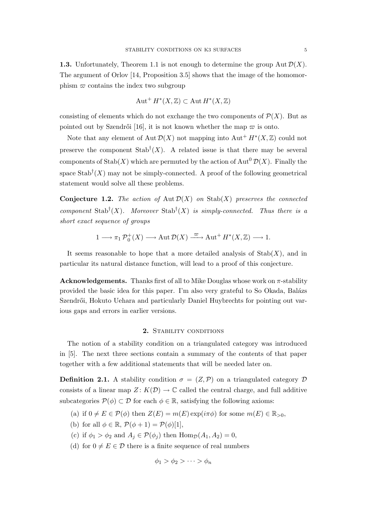**1.3.** Unfortunately, Theorem 1.1 is not enough to determine the group Aut  $\mathcal{D}(X)$ . The argument of Orlov [14, Proposition 3.5] shows that the image of the homomorphism  $\varpi$  contains the index two subgroup

$$
\operatorname{Aut}^+ H^*(X, \mathbb{Z}) \subset \operatorname{Aut} H^*(X, \mathbb{Z})
$$

consisting of elements which do not exchange the two components of  $\mathcal{P}(X)$ . But as pointed out by Szendrői [16], it is not known whether the map  $\varpi$  is onto.

Note that any element of Aut  $\mathcal{D}(X)$  not mapping into Aut<sup>+</sup>  $H^*(X, \mathbb{Z})$  could not preserve the component  $\text{Stab}^{\dagger}(X)$ . A related issue is that there may be several components of  $\text{Stab}(X)$  which are permuted by the action of  $\text{Aut}^0 \mathcal{D}(X)$ . Finally the space  $\text{Stab}^{\dagger}(X)$  may not be simply-connected. A proof of the following geometrical statement would solve all these problems.

**Conjecture 1.2.** The action of Aut  $\mathcal{D}(X)$  on Stab $(X)$  preserves the connected component Stab<sup>†</sup>(X). Moreover Stab<sup>†</sup>(X) is simply-connected. Thus there is a short exact sequence of groups

$$
1 \longrightarrow \pi_1 \mathcal{P}_0^+(X) \longrightarrow \operatorname{Aut} \mathcal{D}(X) \stackrel{\varpi}{\longrightarrow} \operatorname{Aut}^+ H^*(X, \mathbb{Z}) \longrightarrow 1.
$$

It seems reasonable to hope that a more detailed analysis of  $\text{Stab}(X)$ , and in particular its natural distance function, will lead to a proof of this conjecture.

**Acknowledgements.** Thanks first of all to Mike Douglas whose work on  $\pi$ -stability provided the basic idea for this paper. I'm also very grateful to So Okada, Balázs Szendrői, Hokuto Uehara and particularly Daniel Huybrechts for pointing out various gaps and errors in earlier versions.

## 2. STABILITY CONDITIONS

The notion of a stability condition on a triangulated category was introduced in [5]. The next three sections contain a summary of the contents of that paper together with a few additional statements that will be needed later on.

**Definition 2.1.** A stability condition  $\sigma = (Z, \mathcal{P})$  on a triangulated category  $\mathcal{D}$ consists of a linear map  $Z: K(\mathcal{D}) \to \mathbb{C}$  called the central charge, and full additive subcategories  $\mathcal{P}(\phi) \subset \mathcal{D}$  for each  $\phi \in \mathbb{R}$ , satisfying the following axioms:

- (a) if  $0 \neq E \in \mathcal{P}(\phi)$  then  $Z(E) = m(E) \exp(i\pi\phi)$  for some  $m(E) \in \mathbb{R}_{>0}$ ,
- (b) for all  $\phi \in \mathbb{R}$ ,  $\mathcal{P}(\phi + 1) = \mathcal{P}(\phi)[1]$ ,
- (c) if  $\phi_1 > \phi_2$  and  $A_j \in \mathcal{P}(\phi_j)$  then  $\text{Hom}_{\mathcal{D}}(A_1, A_2) = 0$ ,
- (d) for  $0 \neq E \in \mathcal{D}$  there is a finite sequence of real numbers

$$
\phi_1 > \phi_2 > \cdots > \phi_n
$$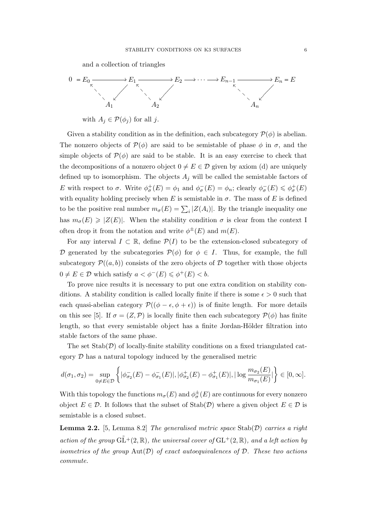and a collection of triangles



with  $A_j \in \mathcal{P}(\phi_j)$  for all j.

Given a stability condition as in the definition, each subcategory  $\mathcal{P}(\phi)$  is abelian. The nonzero objects of  $\mathcal{P}(\phi)$  are said to be semistable of phase  $\phi$  in  $\sigma$ , and the simple objects of  $\mathcal{P}(\phi)$  are said to be stable. It is an easy exercise to check that the decompositions of a nonzero object  $0 \neq E \in \mathcal{D}$  given by axiom (d) are uniquely defined up to isomorphism. The objects  $A_i$  will be called the semistable factors of E with respect to  $\sigma$ . Write  $\phi_{\sigma}^{+}(E) = \phi_1$  and  $\phi_{\sigma}^{-}(E) = \phi_n$ ; clearly  $\phi_{\sigma}^{-}(E) \leq \phi_{\sigma}^{+}(E)$ with equality holding precisely when E is semistable in  $\sigma$ . The mass of E is defined to be the positive real number  $m_{\sigma}(E) = \sum_{i} |Z(A_i)|$ . By the triangle inequality one has  $m_{\sigma}(E) \geq |Z(E)|$ . When the stability condition  $\sigma$  is clear from the context I often drop it from the notation and write  $\phi^{\pm}(E)$  and  $m(E)$ .

For any interval  $I \subset \mathbb{R}$ , define  $\mathcal{P}(I)$  to be the extension-closed subcategory of D generated by the subcategories  $\mathcal{P}(\phi)$  for  $\phi \in I$ . Thus, for example, the full subcategory  $\mathcal{P}((a, b))$  consists of the zero objects of D together with those objects  $0 \neq E \in \mathcal{D}$  which satisfy  $a < \phi^{-}(E) \leq \phi^{+}(E) < b$ .

To prove nice results it is necessary to put one extra condition on stability conditions. A stability condition is called locally finite if there is some  $\epsilon > 0$  such that each quasi-abelian category  $\mathcal{P}((\phi - \epsilon, \phi + \epsilon))$  is of finite length. For more details on this see [5]. If  $\sigma = (Z, \mathcal{P})$  is locally finite then each subcategory  $\mathcal{P}(\phi)$  has finite length, so that every semistable object has a finite Jordan-Hölder filtration into stable factors of the same phase.

The set  $\text{Stab}(\mathcal{D})$  of locally-finite stability conditions on a fixed triangulated category D has a natural topology induced by the generalised metric

$$
d(\sigma_1,\sigma_2)=\sup_{0\neq E\in\mathcal{D}}\left\{|\phi^-_{\sigma_2}(E)-\phi^-_{\sigma_1}(E)|,|\phi^+_{\sigma_2}(E)-\phi^+_{\sigma_1}(E)|,|\log\frac{m_{\sigma_2}(E)}{m_{\sigma_1}(E)}|\right\}\in [0,\infty].
$$

With this topology the functions  $m_{\sigma}(E)$  and  $\phi_{\sigma}^{\pm}(E)$  are continuous for every nonzero object  $E \in \mathcal{D}$ . It follows that the subset of Stab $(\mathcal{D})$  where a given object  $E \in \mathcal{D}$  is semistable is a closed subset.

**Lemma 2.2.** [5, Lemma 8.2] The generalised metric space  $Stab(\mathcal{D})$  carries a right action of the group  $\tilde{GL}^{+}(2,\mathbb{R})$ , the universal cover of  $GL^{+}(2,\mathbb{R})$ , and a left action by isometries of the group  $Aut(D)$  of exact autoequivalences of  $D$ . These two actions commute.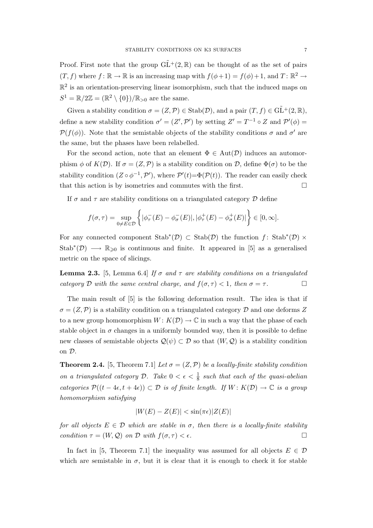Proof. First note that the group  $\widetilde{GL}^+(2,\mathbb{R})$  can be thought of as the set of pairs  $(T, f)$  where  $f: \mathbb{R} \to \mathbb{R}$  is an increasing map with  $f(\phi + 1) = f(\phi) + 1$ , and  $T: \mathbb{R}^2 \to$  $\mathbb{R}^2$  is an orientation-preserving linear isomorphism, such that the induced maps on  $S^1 = \mathbb{R}/2\mathbb{Z} = (\mathbb{R}^2 \setminus \{0\})/\mathbb{R}_{>0}$  are the same.

Given a stability condition  $\sigma = (Z, \mathcal{P}) \in \text{Stab}(\mathcal{D})$ , and a pair  $(T, f) \in \tilde{\text{GL}}^+(2, \mathbb{R})$ , define a new stability condition  $\sigma' = (Z', \mathcal{P}')$  by setting  $Z' = T^{-1} \circ Z$  and  $\mathcal{P}'(\phi) =$  $\mathcal{P}(f(\phi))$ . Note that the semistable objects of the stability conditions  $\sigma$  and  $\sigma'$  are the same, but the phases have been relabelled.

For the second action, note that an element  $\Phi \in Aut(\mathcal{D})$  induces an automorphism  $\phi$  of  $K(\mathcal{D})$ . If  $\sigma = (Z, \mathcal{P})$  is a stability condition on  $\mathcal{D}$ , define  $\Phi(\sigma)$  to be the stability condition  $(Z \circ \phi^{-1}, \mathcal{P}')$ , where  $\mathcal{P}'(t) = \Phi(\mathcal{P}(t))$ . The reader can easily check that this action is by isometries and commutes with the first.  $\Box$ 

If  $\sigma$  and  $\tau$  are stability conditions on a triangulated category  $\mathcal D$  define

$$
f(\sigma,\tau)=\sup_{0\neq E\in\mathcal{D}}\bigg\{|\phi^-_{\tau}(E)-\phi^-_{\sigma}(E)|,|\phi^+_{\tau}(E)-\phi^+_{\sigma}(E)|\bigg\}\in[0,\infty].
$$

For any connected component  $\text{Stab}^*(\mathcal{D}) \subset \text{Stab}(\mathcal{D})$  the function f:  $\text{Stab}^*(\mathcal{D}) \times$ Stab<sup>\*</sup>(D)  $\longrightarrow \mathbb{R}_{\geqslant 0}$  is continuous and finite. It appeared in [5] as a generalised metric on the space of slicings.

**Lemma 2.3.** [5, Lemma 6.4] If  $\sigma$  and  $\tau$  are stability conditions on a triangulated category D with the same central charge, and  $f(\sigma, \tau) < 1$ , then  $\sigma = \tau$ .

The main result of [5] is the following deformation result. The idea is that if  $\sigma = (Z, \mathcal{P})$  is a stability condition on a triangulated category  $\mathcal{D}$  and one deforms Z to a new group homomorphism  $W: K(\mathcal{D}) \to \mathbb{C}$  in such a way that the phase of each stable object in  $\sigma$  changes in a uniformly bounded way, then it is possible to define new classes of semistable objects  $\mathcal{Q}(\psi) \subset \mathcal{D}$  so that  $(W, \mathcal{Q})$  is a stability condition on D.

**Theorem 2.4.** [5, Theorem 7.1] Let  $\sigma = (Z, \mathcal{P})$  be a locally-finite stability condition on a triangulated category D. Take  $0 < \epsilon < \frac{1}{8}$  such that each of the quasi-abelian categories  $\mathcal{P}((t-4\epsilon,t+4\epsilon)) \subset \mathcal{D}$  is of finite length. If  $W: K(\mathcal{D}) \to \mathbb{C}$  is a group homomorphism satisfying

$$
|W(E) - Z(E)| < \sin(\pi \epsilon) |Z(E)|
$$

for all objects  $E \in \mathcal{D}$  which are stable in  $\sigma$ , then there is a locally-finite stability condition  $\tau = (W, \mathcal{Q})$  on D with  $f(\sigma, \tau) < \epsilon$ .

In fact in [5, Theorem 7.1] the inequality was assumed for all objects  $E \in \mathcal{D}$ which are semistable in  $\sigma$ , but it is clear that it is enough to check it for stable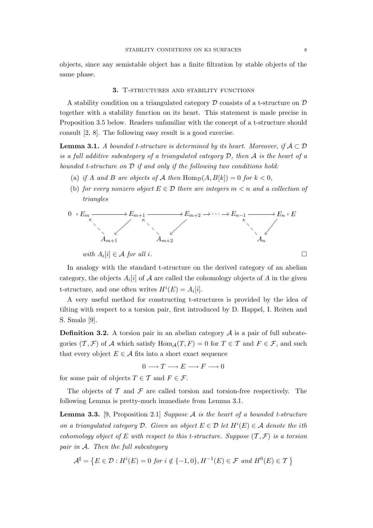objects, since any semistable object has a finite filtration by stable objects of the same phase.

# 3. T-structures and stability functions

A stability condition on a triangulated category  $\mathcal D$  consists of a t-structure on  $\mathcal D$ together with a stability function on its heart. This statement is made precise in Proposition 3.5 below. Readers unfamiliar with the concept of a t-structure should consult [2, 8]. The following easy result is a good exercise.

**Lemma 3.1.** A bounded t-structure is determined by its heart. Moreover, if  $A \subset \mathcal{D}$ is a full additive subcategory of a triangulated category  $D$ , then  $A$  is the heart of a bounded t-structure on D if and only if the following two conditions hold:

- (a) if A and B are objects of A then  $\text{Hom}_{\mathcal{D}}(A, B[k]) = 0$  for  $k < 0$ ,
- (b) for every nonzero object  $E \in \mathcal{D}$  there are integers  $m < n$  and a collection of triangles



with 
$$
A_i[i] \in \mathcal{A}
$$
 for all *i*.

In analogy with the standard t-structure on the derived category of an abelian category, the objects  $A_i[i]$  of  $A$  are called the cohomology objects of  $A$  in the given t-structure, and one often writes  $H^i(E) = A_i[i].$ 

A very useful method for constructing t-structures is provided by the idea of tilting with respect to a torsion pair, first introduced by D. Happel, I. Reiten and S. Smalø [9].

**Definition 3.2.** A torsion pair in an abelian category  $A$  is a pair of full subcategories  $(\mathcal{T}, \mathcal{F})$  of A which satisfy  $\text{Hom}_{\mathcal{A}}(T, F) = 0$  for  $T \in \mathcal{T}$  and  $F \in \mathcal{F}$ , and such that every object  $E \in \mathcal{A}$  fits into a short exact sequence

$$
0 \longrightarrow T \longrightarrow E \longrightarrow F \longrightarrow 0
$$

for some pair of objects  $T \in \mathcal{T}$  and  $F \in \mathcal{F}$ .

The objects of  $\mathcal T$  and  $\mathcal F$  are called torsion and torsion-free respectively. The following Lemma is pretty-much immediate from Lemma 3.1.

**Lemma 3.3.** [9, Proposition 2.1] Suppose  $A$  is the heart of a bounded t-structure on a triangulated category  $\mathcal D$ . Given an object  $E \in \mathcal D$  let  $H^i(E) \in \mathcal A$  denote the ith cohomology object of E with respect to this t-structure. Suppose  $(\mathcal{T}, \mathcal{F})$  is a torsion pair in A. Then the full subcategory

$$
\mathcal{A}^{\sharp} = \{ E \in \mathcal{D} : H^{i}(E) = 0 \text{ for } i \notin \{-1, 0\}, H^{-1}(E) \in \mathcal{F} \text{ and } H^{0}(E) \in \mathcal{T} \}
$$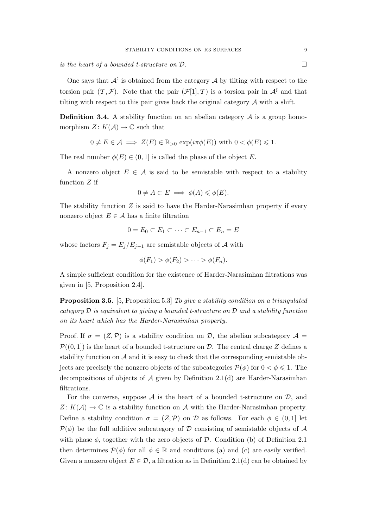is the heart of a bounded t-structure on  $D$ .  $\Box$ 

One says that  $A^{\sharp}$  is obtained from the category A by tilting with respect to the torsion pair  $(\mathcal{T}, \mathcal{F})$ . Note that the pair  $(\mathcal{F}[1], \mathcal{T})$  is a torsion pair in  $\mathcal{A}^{\sharp}$  and that tilting with respect to this pair gives back the original category  $A$  with a shift.

**Definition 3.4.** A stability function on an abelian category  $A$  is a group homomorphism  $Z: K(\mathcal{A}) \to \mathbb{C}$  such that

$$
0 \neq E \in \mathcal{A} \implies Z(E) \in \mathbb{R}_{>0} \exp(i\pi\phi(E)) \text{ with } 0 < \phi(E) \leq 1.
$$

The real number  $\phi(E) \in (0,1]$  is called the phase of the object E.

A nonzero object  $E \in \mathcal{A}$  is said to be semistable with respect to a stability function Z if

$$
0 \neq A \subset E \implies \phi(A) \leq \phi(E).
$$

The stability function  $Z$  is said to have the Harder-Narasimhan property if every nonzero object  $E \in \mathcal{A}$  has a finite filtration

$$
0 = E_0 \subset E_1 \subset \cdots \subset E_{n-1} \subset E_n = E
$$

whose factors  $F_j = E_j/E_{j-1}$  are semistable objects of A with

$$
\phi(F_1) > \phi(F_2) > \cdots > \phi(F_n).
$$

A simple sufficient condition for the existence of Harder-Narasimhan filtrations was given in [5, Proposition 2.4].

Proposition 3.5. [5, Proposition 5.3] To give a stability condition on a triangulated category  $\mathcal D$  is equivalent to giving a bounded t-structure on  $\mathcal D$  and a stability function on its heart which has the Harder-Narasimhan property.

Proof. If  $\sigma = (Z, \mathcal{P})$  is a stability condition on  $\mathcal{D}$ , the abelian subcategory  $\mathcal{A} =$  $\mathcal{P}((0, 1])$  is the heart of a bounded t-structure on D. The central charge Z defines a stability function on  $A$  and it is easy to check that the corresponding semistable objects are precisely the nonzero objects of the subcategories  $\mathcal{P}(\phi)$  for  $0 < \phi \leq 1$ . The decompositions of objects of  $A$  given by Definition 2.1(d) are Harder-Narasimhan filtrations.

For the converse, suppose  $A$  is the heart of a bounded t-structure on  $D$ , and  $Z: K(\mathcal{A}) \to \mathbb{C}$  is a stability function on  $\mathcal A$  with the Harder-Narasimhan property. Define a stability condition  $\sigma = (Z, \mathcal{P})$  on D as follows. For each  $\phi \in (0, 1]$  let  $P(\phi)$  be the full additive subcategory of D consisting of semistable objects of A with phase  $\phi$ , together with the zero objects of D. Condition (b) of Definition 2.1 then determines  $\mathcal{P}(\phi)$  for all  $\phi \in \mathbb{R}$  and conditions (a) and (c) are easily verified. Given a nonzero object  $E \in \mathcal{D}$ , a filtration as in Definition 2.1(d) can be obtained by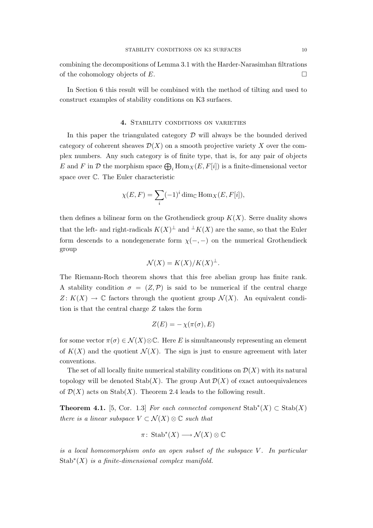combining the decompositions of Lemma 3.1 with the Harder-Narasimhan filtrations of the cohomology objects of  $E$ .

In Section 6 this result will be combined with the method of tilting and used to construct examples of stability conditions on K3 surfaces.

### 4. STABILITY CONDITIONS ON VARIETIES

In this paper the triangulated category  $\mathcal D$  will always be the bounded derived category of coherent sheaves  $\mathcal{D}(X)$  on a smooth projective variety X over the complex numbers. Any such category is of finite type, that is, for any pair of objects E and F in D the morphism space  $\bigoplus_i$  Hom $_X(E, F[i])$  is a finite-dimensional vector space over C. The Euler characteristic

$$
\chi(E, F) = \sum_{i} (-1)^{i} \dim_{\mathbb{C}} \text{Hom}_{X}(E, F[i]),
$$

then defines a bilinear form on the Grothendieck group  $K(X)$ . Serre duality shows that the left- and right-radicals  $K(X)^{\perp}$  and  $\perp K(X)$  are the same, so that the Euler form descends to a nondegenerate form  $\chi(-, -)$  on the numerical Grothendieck group

$$
\mathcal{N}(X) = K(X)/K(X)^{\perp}.
$$

The Riemann-Roch theorem shows that this free abelian group has finite rank. A stability condition  $\sigma = (Z, \mathcal{P})$  is said to be numerical if the central charge  $Z: K(X) \to \mathbb{C}$  factors through the quotient group  $\mathcal{N}(X)$ . An equivalent condition is that the central charge Z takes the form

$$
Z(E) = -\chi(\pi(\sigma), E)
$$

for some vector  $\pi(\sigma) \in \mathcal{N}(X) \otimes \mathbb{C}$ . Here E is simultaneously representing an element of  $K(X)$  and the quotient  $\mathcal{N}(X)$ . The sign is just to ensure agreement with later conventions.

The set of all locally finite numerical stability conditions on  $\mathcal{D}(X)$  with its natural topology will be denoted  $\text{Stab}(X)$ . The group  $\text{Aut }\mathcal{D}(X)$  of exact autoequivalences of  $\mathcal{D}(X)$  acts on Stab $(X)$ . Theorem 2.4 leads to the following result.

**Theorem 4.1.** [5, Cor. 1.3] For each connected component  $\text{Stab}^*(X) \subset \text{Stab}(X)$ there is a linear subspace  $V \subset \mathcal{N}(X) \otimes \mathbb{C}$  such that

$$
\pi\colon\operatorname{Stab}^*(X)\longrightarrow\mathcal{N}(X)\otimes\mathbb{C}
$$

is a local homeomorphism onto an open subset of the subspace  $V$ . In particular Stab $*(X)$  is a finite-dimensional complex manifold.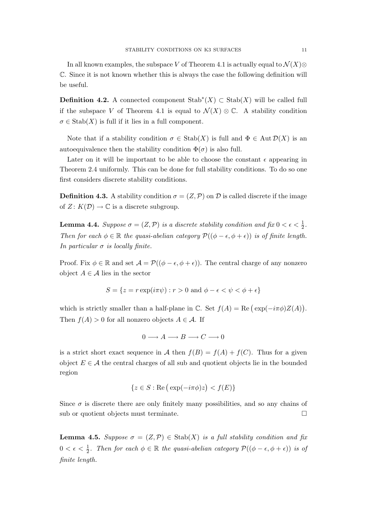In all known examples, the subspace V of Theorem 4.1 is actually equal to  $\mathcal{N}(X)$ ⊗ C. Since it is not known whether this is always the case the following definition will be useful.

**Definition 4.2.** A connected component  $\text{Stab}^*(X) \subset \text{Stab}(X)$  will be called full if the subspace V of Theorem 4.1 is equal to  $\mathcal{N}(X) \otimes \mathbb{C}$ . A stability condition  $\sigma \in \text{Stab}(X)$  is full if it lies in a full component.

Note that if a stability condition  $\sigma \in \text{Stab}(X)$  is full and  $\Phi \in \text{Aut}\,\mathcal{D}(X)$  is an autoequivalence then the stability condition  $\Phi(\sigma)$  is also full.

Later on it will be important to be able to choose the constant  $\epsilon$  appearing in Theorem 2.4 uniformly. This can be done for full stability conditions. To do so one first considers discrete stability conditions.

**Definition 4.3.** A stability condition  $\sigma = (Z, \mathcal{P})$  on  $\mathcal{D}$  is called discrete if the image of  $Z: K(\mathcal{D}) \to \mathbb{C}$  is a discrete subgroup.

**Lemma 4.4.** Suppose  $\sigma = (Z, \mathcal{P})$  is a discrete stability condition and fix  $0 < \epsilon < \frac{1}{2}$ . Then for each  $\phi \in \mathbb{R}$  the quasi-abelian category  $\mathcal{P}((\phi - \epsilon, \phi + \epsilon))$  is of finite length. In particular  $\sigma$  is locally finite.

Proof. Fix  $\phi \in \mathbb{R}$  and set  $\mathcal{A} = \mathcal{P}((\phi - \epsilon, \phi + \epsilon))$ . The central charge of any nonzero object  $A \in \mathcal{A}$  lies in the sector

$$
S = \{ z = r \exp(i\pi\psi) : r > 0 \text{ and } \phi - \epsilon < \psi < \phi + \epsilon \}
$$

which is strictly smaller than a half-plane in  $\mathbb{C}$ . Set  $f(A) = \text{Re}(\exp(-i\pi\phi)Z(A))$ ¢ . Then  $f(A) > 0$  for all nonzero objects  $A \in \mathcal{A}$ . If

$$
0 \longrightarrow A \longrightarrow B \longrightarrow C \longrightarrow 0
$$

is a strict short exact sequence in A then  $f(B) = f(A) + f(C)$ . Thus for a given object  $E \in \mathcal{A}$  the central charges of all sub and quotient objects lie in the bounded region

$$
\{z \in S : \text{Re}\left(\exp(-i\pi\phi)z\right) < f(E)\}
$$

Since  $\sigma$  is discrete there are only finitely many possibilities, and so any chains of sub or quotient objects must terminate.  $\Box$ 

**Lemma 4.5.** Suppose  $\sigma = (Z, \mathcal{P}) \in \text{Stab}(X)$  is a full stability condition and fix  $0 < \epsilon < \frac{1}{2}$ . Then for each  $\phi \in \mathbb{R}$  the quasi-abelian category  $\mathcal{P}((\phi - \epsilon, \phi + \epsilon))$  is of finite length.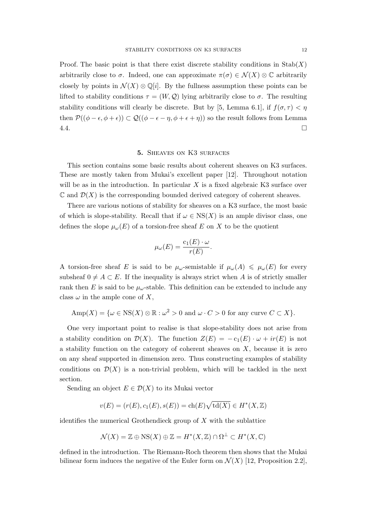Proof. The basic point is that there exist discrete stability conditions in  $\text{Stab}(X)$ arbitrarily close to  $\sigma$ . Indeed, one can approximate  $\pi(\sigma) \in \mathcal{N}(X) \otimes \mathbb{C}$  arbitrarily closely by points in  $\mathcal{N}(X) \otimes \mathbb{Q}[i]$ . By the fullness assumption these points can be lifted to stability conditions  $\tau = (W, \mathcal{Q})$  lying arbitrarily close to  $\sigma$ . The resulting stability conditions will clearly be discrete. But by [5, Lemma 6.1], if  $f(\sigma, \tau) < \eta$ then  $\mathcal{P}((\phi - \epsilon, \phi + \epsilon)) \subset \mathcal{Q}((\phi - \epsilon - \eta, \phi + \epsilon + \eta))$  so the result follows from Lemma  $4.4.$ 

### 5. Sheaves on K3 surfaces

This section contains some basic results about coherent sheaves on K3 surfaces. These are mostly taken from Mukai's excellent paper [12]. Throughout notation will be as in the introduction. In particular  $X$  is a fixed algebraic K3 surface over  $\mathbb C$  and  $\mathcal D(X)$  is the corresponding bounded derived category of coherent sheaves.

There are various notions of stability for sheaves on a K3 surface, the most basic of which is slope-stability. Recall that if  $\omega \in \text{NS}(X)$  is an ample divisor class, one defines the slope  $\mu_{\omega}(E)$  of a torsion-free sheaf E on X to be the quotient

$$
\mu_{\omega}(E) = \frac{c_1(E) \cdot \omega}{r(E)}.
$$

A torsion-free sheaf E is said to be  $\mu_{\omega}$ -semistable if  $\mu_{\omega}(A) \leq \mu_{\omega}(E)$  for every subsheaf  $0 \neq A \subset E$ . If the inequality is always strict when A is of strictly smaller rank then E is said to be  $\mu_{\omega}$ -stable. This definition can be extended to include any class  $\omega$  in the ample cone of X,

$$
Amp(X) = \{ \omega \in NS(X) \otimes \mathbb{R} : \omega^2 > 0 \text{ and } \omega \cdot C > 0 \text{ for any curve } C \subset X \}.
$$

One very important point to realise is that slope-stability does not arise from a stability condition on  $\mathcal{D}(X)$ . The function  $Z(E) = -c_1(E) \cdot \omega + ir(E)$  is not a stability function on the category of coherent sheaves on  $X$ , because it is zero on any sheaf supported in dimension zero. Thus constructing examples of stability conditions on  $\mathcal{D}(X)$  is a non-trivial problem, which will be tackled in the next section.

Sending an object  $E \in \mathcal{D}(X)$  to its Mukai vector

$$
v(E) = (r(E), c_1(E), s(E)) = ch(E)\sqrt{td(X)} \in H^*(X, \mathbb{Z})
$$

identifies the numerical Grothendieck group of  $X$  with the sublattice

$$
\mathcal{N}(X) = \mathbb{Z} \oplus \text{NS}(X) \oplus \mathbb{Z} = H^*(X, \mathbb{Z}) \cap \Omega^{\perp} \subset H^*(X, \mathbb{C})
$$

defined in the introduction. The Riemann-Roch theorem then shows that the Mukai bilinear form induces the negative of the Euler form on  $\mathcal{N}(X)$  [12, Proposition 2.2],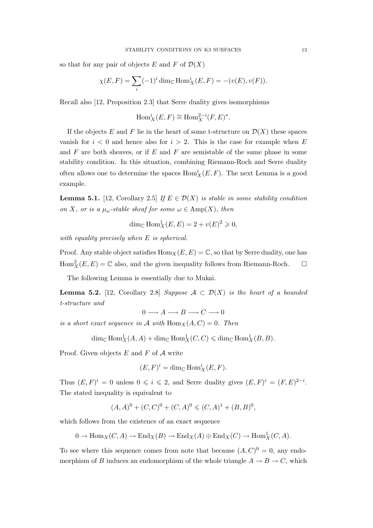so that for any pair of objects E and F of  $\mathcal{D}(X)$ 

$$
\chi(E, F) = \sum_{i} (-1)^{i} \dim_{\mathbb{C}} \text{Hom}_{X}^{i}(E, F) = -(v(E), v(F)).
$$

Recall also [12, Proposition 2.3] that Serre duality gives isomorphisms

$$
\operatorname{Hom}_X^i(E, F) \cong \operatorname{Hom}_X^{2-i}(F, E)^*.
$$

If the objects E and F lie in the heart of some t-structure on  $\mathcal{D}(X)$  these spaces vanish for  $i < 0$  and hence also for  $i > 2$ . This is the case for example when E and  $F$  are both sheaves, or if  $E$  and  $F$  are semistable of the same phase in some stability condition. In this situation, combining Riemann-Roch and Serre duality often allows one to determine the spaces  $\text{Hom}_X^i(E, F)$ . The next Lemma is a good example.

**Lemma 5.1.** [12, Corollary 2.5] If  $E \in \mathcal{D}(X)$  is stable in some stability condition on X, or is a  $\mu_{\omega}$ -stable sheaf for some  $\omega \in \text{Amp}(X)$ , then

$$
\dim_{\mathbb{C}} \text{Hom}_X^1(E, E) = 2 + v(E)^2 \geqslant 0,
$$

with equality precisely when E is spherical.

Proof. Any stable object satisfies  $\text{Hom}_X(E, E) = \mathbb{C}$ , so that by Serre duality, one has  $\text{Hom}_X^2(E, E) = \mathbb{C}$  also, and the given inequality follows from Riemann-Roch.  $\Box$ 

The following Lemma is essentially due to Mukai.

**Lemma 5.2.** [12, Corollary 2.8] Suppose  $A \subset \mathcal{D}(X)$  is the heart of a bounded t-structure and

$$
0 \longrightarrow A \longrightarrow B \longrightarrow C \longrightarrow 0
$$

is a short exact sequence in A with  $\text{Hom}_X(A, C) = 0$ . Then

 $\dim_{\mathbb{C}} \text{Hom}_X^1(A, A) + \dim_{\mathbb{C}} \text{Hom}_X^1(C, C) \leq \dim_{\mathbb{C}} \text{Hom}_X^1(B, B).$ 

Proof. Given objects  $E$  and  $F$  of  $A$  write

$$
(E, F)^i = \dim_{\mathbb{C}} \text{Hom}_X^i(E, F).
$$

Thus  $(E, F)^i = 0$  unless  $0 \leq i \leq 2$ , and Serre duality gives  $(E, F)^i = (F, E)^{2-i}$ . The stated inequality is equivalent to

$$
(A,A)^0 + (C,C)^0 + (C,A)^0 \leq (C,A)^1 + (B,B)^0,
$$

which follows from the existence of an exact sequence

 $0 \to \text{Hom}_X(C, A) \to \text{End}_X(B) \to \text{End}_X(A) \oplus \text{End}_X(C) \to \text{Hom}_X^1(C, A).$ 

To see where this sequence comes from note that because  $(A, C)^0 = 0$ , any endomorphism of B induces an endomorphism of the whole triangle  $A \to B \to C$ , which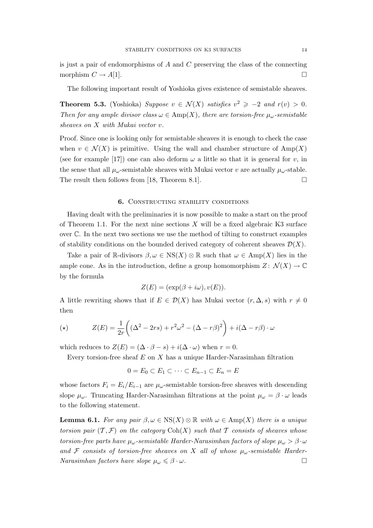is just a pair of endomorphisms of  $A$  and  $C$  preserving the class of the connecting morphism  $C \to A[1]$ .

The following important result of Yoshioka gives existence of semistable sheaves.

**Theorem 5.3.** (Yoshioka) Suppose  $v \in \mathcal{N}(X)$  satisfies  $v^2 \ge -2$  and  $r(v) > 0$ . Then for any ample divisor class  $\omega \in \text{Amp}(X)$ , there are torsion-free  $\mu_{\omega}$ -semistable sheaves on X with Mukai vector v.

Proof. Since one is looking only for semistable sheaves it is enough to check the case when  $v \in \mathcal{N}(X)$  is primitive. Using the wall and chamber structure of  $\text{Amp}(X)$ (see for example [17]) one can also deform  $\omega$  a little so that it is general for v, in the sense that all  $\mu_{\omega}$ -semistable sheaves with Mukai vector v are actually  $\mu_{\omega}$ -stable. The result then follows from [18, Theorem 8.1].  $\Box$ 

### 6. CONSTRUCTING STABILITY CONDITIONS

Having dealt with the preliminaries it is now possible to make a start on the proof of Theorem 1.1. For the next nine sections  $X$  will be a fixed algebraic K3 surface over C. In the next two sections we use the method of tilting to construct examples of stability conditions on the bounded derived category of coherent sheaves  $\mathcal{D}(X)$ .

Take a pair of R-divisors  $\beta, \omega \in \text{NS}(X) \otimes \mathbb{R}$  such that  $\omega \in \text{Amp}(X)$  lies in the ample cone. As in the introduction, define a group homomorphism  $Z: \mathcal{N}(X) \to \mathbb{C}$ by the formula

$$
Z(E) = (\exp(\beta + i\omega), v(E)).
$$

A little rewriting shows that if  $E \in \mathcal{D}(X)$  has Mukai vector  $(r, \Delta, s)$  with  $r \neq 0$ then

$$
(\star) \qquad \qquad Z(E) = \frac{1}{2r} \left( (\Delta^2 - 2rs) + r^2 \omega^2 - (\Delta - r\beta)^2 \right) + i(\Delta - r\beta) \cdot \omega
$$

which reduces to  $Z(E) = (\Delta \cdot \beta - s) + i(\Delta \cdot \omega)$  when  $r = 0$ .

Every torsion-free sheaf  $E$  on  $X$  has a unique Harder-Narasimhan filtration

$$
0 = E_0 \subset E_1 \subset \cdots \subset E_{n-1} \subset E_n = E
$$

whose factors  $F_i = E_i/E_{i-1}$  are  $\mu_{\omega}$ -semistable torsion-free sheaves with descending slope  $\mu_{\omega}$ . Truncating Harder-Narasimhan filtrations at the point  $\mu_{\omega} = \beta \cdot \omega$  leads to the following statement.

**Lemma 6.1.** For any pair  $\beta, \omega \in \text{NS}(X) \otimes \mathbb{R}$  with  $\omega \in \text{Amp}(X)$  there is a unique torsion pair  $(\mathcal{T}, \mathcal{F})$  on the category  $\text{Coh}(X)$  such that T consists of sheaves whose torsion-free parts have  $\mu_{\omega}$ -semistable Harder-Narasimhan factors of slope  $\mu_{\omega} > \beta \cdot \omega$ and F consists of torsion-free sheaves on X all of whose  $\mu_{\omega}$ -semistable Harder-Narasimhan factors have slope  $\mu_{\omega} \leq \beta \cdot \omega$ .  $\Box$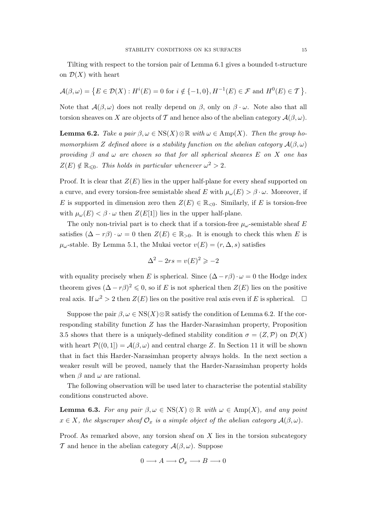Tilting with respect to the torsion pair of Lemma 6.1 gives a bounded t-structure on  $\mathcal{D}(X)$  with heart

$$
\mathcal{A}(\beta,\omega) = \left\{ E \in \mathcal{D}(X) : H^i(E) = 0 \text{ for } i \notin \{-1,0\}, H^{-1}(E) \in \mathcal{F} \text{ and } H^0(E) \in \mathcal{T} \right\}.
$$

Note that  $\mathcal{A}(\beta,\omega)$  does not really depend on  $\beta$ , only on  $\beta \cdot \omega$ . Note also that all torsion sheaves on X are objects of T and hence also of the abelian category  $\mathcal{A}(\beta,\omega)$ .

**Lemma 6.2.** Take a pair  $\beta, \omega \in \text{NS}(X) \otimes \mathbb{R}$  with  $\omega \in \text{Amp}(X)$ . Then the group homomorphism Z defined above is a stability function on the abelian category  $\mathcal{A}(\beta,\omega)$ providing  $\beta$  and  $\omega$  are chosen so that for all spherical sheaves E on X one has  $Z(E) \notin \mathbb{R}_{\leq 0}$ . This holds in particular whenever  $\omega^2 > 2$ .

Proof. It is clear that  $Z(E)$  lies in the upper half-plane for every sheaf supported on a curve, and every torsion-free semistable sheaf E with  $\mu_{\omega}(E) > \beta \cdot \omega$ . Moreover, if E is supported in dimension zero then  $Z(E) \in \mathbb{R}_{\leq 0}$ . Similarly, if E is torsion-free with  $\mu_{\omega}(E) < \beta \cdot \omega$  then  $Z(E[1])$  lies in the upper half-plane.

The only non-trivial part is to check that if a torsion-free  $\mu_{\omega}$ -semistable sheaf E satisfies  $(\Delta - r\beta) \cdot \omega = 0$  then  $Z(E) \in \mathbb{R}_{>0}$ . It is enough to check this when E is  $\mu_{\omega}$ -stable. By Lemma 5.1, the Mukai vector  $v(E) = (r, \Delta, s)$  satisfies

$$
\Delta^2 - 2rs = v(E)^2 \geqslant -2
$$

with equality precisely when E is spherical. Since  $(\Delta - r\beta) \cdot \omega = 0$  the Hodge index theorem gives  $(\Delta - r\beta)^2 \leq 0$ , so if E is not spherical then  $Z(E)$  lies on the positive real axis. If  $\omega^2 > 2$  then  $Z(E)$  lies on the positive real axis even if E is spherical.  $\Box$ 

Suppose the pair  $\beta, \omega \in \text{NS}(X) \otimes \mathbb{R}$  satisfy the condition of Lemma 6.2. If the corresponding stability function Z has the Harder-Narasimhan property, Proposition 3.5 shows that there is a uniquely-defined stability condition  $\sigma = (Z, \mathcal{P})$  on  $\mathcal{D}(X)$ with heart  $\mathcal{P}((0,1]) = \mathcal{A}(\beta,\omega)$  and central charge Z. In Section 11 it will be shown that in fact this Harder-Narasimhan property always holds. In the next section a weaker result will be proved, namely that the Harder-Narasimhan property holds when  $\beta$  and  $\omega$  are rational.

The following observation will be used later to characterise the potential stability conditions constructed above.

**Lemma 6.3.** For any pair  $\beta, \omega \in \text{NS}(X) \otimes \mathbb{R}$  with  $\omega \in \text{Amp}(X)$ , and any point  $x \in X$ , the skyscraper sheaf  $\mathcal{O}_x$  is a simple object of the abelian category  $\mathcal{A}(\beta,\omega)$ .

Proof. As remarked above, any torsion sheaf on  $X$  lies in the torsion subcategory T and hence in the abelian category  $\mathcal{A}(\beta,\omega)$ . Suppose

$$
0 \longrightarrow A \longrightarrow \mathcal{O}_x \longrightarrow B \longrightarrow 0
$$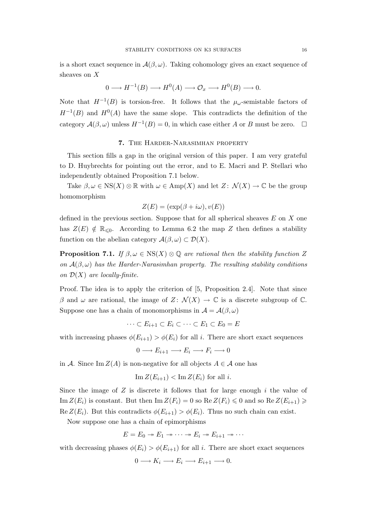is a short exact sequence in  $\mathcal{A}(\beta,\omega)$ . Taking cohomology gives an exact sequence of sheaves on X

$$
0 \longrightarrow H^{-1}(B) \longrightarrow H^0(A) \longrightarrow \mathcal{O}_x \longrightarrow H^0(B) \longrightarrow 0.
$$

Note that  $H^{-1}(B)$  is torsion-free. It follows that the  $\mu_{\omega}$ -semistable factors of  $H^{-1}(B)$  and  $H^{0}(A)$  have the same slope. This contradicts the definition of the category  $\mathcal{A}(\beta,\omega)$  unless  $H^{-1}(B)=0$ , in which case either A or B must be zero.  $\square$ 

### 7. The Harder-Narasimhan property

This section fills a gap in the original version of this paper. I am very grateful to D. Huybrechts for pointing out the error, and to E. Macri and P. Stellari who independently obtained Proposition 7.1 below.

Take  $\beta, \omega \in \text{NS}(X) \otimes \mathbb{R}$  with  $\omega \in \text{Amp}(X)$  and let  $Z: \mathcal{N}(X) \to \mathbb{C}$  be the group homomorphism

$$
Z(E) = (\exp(\beta + i\omega), v(E))
$$

defined in the previous section. Suppose that for all spherical sheaves  $E$  on  $X$  one has  $Z(E) \notin \mathbb{R}_{\leq 0}$ . According to Lemma 6.2 the map Z then defines a stability function on the abelian category  $\mathcal{A}(\beta,\omega) \subset \mathcal{D}(X)$ .

**Proposition 7.1.** If  $\beta, \omega \in \text{NS}(X) \otimes \mathbb{Q}$  are rational then the stability function Z on  $\mathcal{A}(\beta,\omega)$  has the Harder-Narasimhan property. The resulting stability conditions on  $\mathcal{D}(X)$  are locally-finite.

Proof. The idea is to apply the criterion of [5, Proposition 2.4]. Note that since β and ω are rational, the image of  $Z: \mathcal{N}(X) \to \mathbb{C}$  is a discrete subgroup of  $\mathbb{C}$ . Suppose one has a chain of monomorphisms in  $\mathcal{A} = \mathcal{A}(\beta, \omega)$ 

 $\cdots \subset E_{i+1} \subset E_i \subset \cdots \subset E_1 \subset E_0 = E$ 

with increasing phases  $\phi(E_{i+1}) > \phi(E_i)$  for all i. There are short exact sequences

$$
0 \longrightarrow E_{i+1} \longrightarrow E_i \longrightarrow F_i \longrightarrow 0
$$

in A. Since Im  $Z(A)$  is non-negative for all objects  $A \in \mathcal{A}$  one has

$$
\operatorname{Im} Z(E_{i+1}) < \operatorname{Im} Z(E_i) \text{ for all } i.
$$

Since the image of  $Z$  is discrete it follows that for large enough  $i$  the value of Im  $Z(E_i)$  is constant. But then Im  $Z(F_i) = 0$  so Re  $Z(F_i) \leq 0$  and so Re  $Z(E_{i+1}) \geq$  $\text{Re } Z(E_i)$ . But this contradicts  $\phi(E_{i+1}) > \phi(E_i)$ . Thus no such chain can exist.

Now suppose one has a chain of epimorphisms

$$
E = E_0 \twoheadrightarrow E_1 \twoheadrightarrow \cdots \twoheadrightarrow E_i \twoheadrightarrow E_{i+1} \twoheadrightarrow \cdots
$$

with decreasing phases  $\phi(E_i) > \phi(E_{i+1})$  for all i. There are short exact sequences

$$
0 \longrightarrow K_i \longrightarrow E_i \longrightarrow E_{i+1} \longrightarrow 0.
$$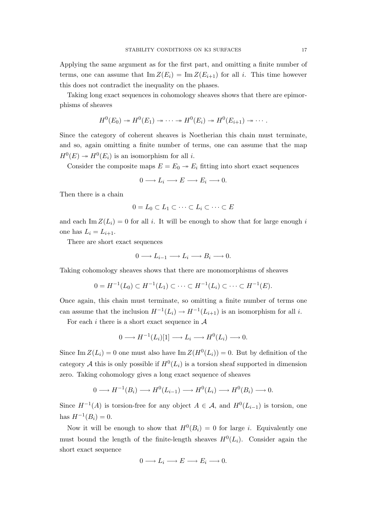Applying the same argument as for the first part, and omitting a finite number of terms, one can assume that  $\text{Im } Z(E_i) = \text{Im } Z(E_{i+1})$  for all i. This time however this does not contradict the inequality on the phases.

Taking long exact sequences in cohomology sheaves shows that there are epimorphisms of sheaves

$$
H^0(E_0) \twoheadrightarrow H^0(E_1) \twoheadrightarrow \cdots \twoheadrightarrow H^0(E_i) \twoheadrightarrow H^0(E_{i+1}) \twoheadrightarrow \cdots.
$$

Since the category of coherent sheaves is Noetherian this chain must terminate, and so, again omitting a finite number of terms, one can assume that the map  $H^0(E) \to H^0(E_i)$  is an isomorphism for all *i*.

Consider the composite maps  $E = E_0 \rightarrow E_i$  fitting into short exact sequences

$$
0 \longrightarrow L_i \longrightarrow E \longrightarrow E_i \longrightarrow 0.
$$

Then there is a chain

$$
0 = L_0 \subset L_1 \subset \cdots \subset L_i \subset \cdots \subset E
$$

and each Im  $Z(L_i) = 0$  for all i. It will be enough to show that for large enough i one has  $L_i = L_{i+1}$ .

There are short exact sequences

$$
0 \longrightarrow L_{i-1} \longrightarrow L_i \longrightarrow B_i \longrightarrow 0.
$$

Taking cohomology sheaves shows that there are monomorphisms of sheaves

$$
0 = H^{-1}(L_0) \subset H^{-1}(L_1) \subset \cdots \subset H^{-1}(L_i) \subset \cdots \subset H^{-1}(E).
$$

Once again, this chain must terminate, so omitting a finite number of terms one can assume that the inclusion  $H^{-1}(L_i) \to H^{-1}(L_{i+1})$  is an isomorphism for all *i*.

For each i there is a short exact sequence in  $A$ 

$$
0 \longrightarrow H^{-1}(L_i)[1] \longrightarrow L_i \longrightarrow H^0(L_i) \longrightarrow 0.
$$

Since Im  $Z(L_i) = 0$  one must also have Im  $Z(H^0(L_i)) = 0$ . But by definition of the category A this is only possible if  $H^0(L_i)$  is a torsion sheaf supported in dimension zero. Taking cohomology gives a long exact sequence of sheaves

$$
0 \longrightarrow H^{-1}(B_i) \longrightarrow H^0(L_{i-1}) \longrightarrow H^0(L_i) \longrightarrow H^0(B_i) \longrightarrow 0.
$$

Since  $H^{-1}(A)$  is torsion-free for any object  $A \in \mathcal{A}$ , and  $H^{0}(L_{i-1})$  is torsion, one has  $H^{-1}(B_i) = 0$ .

Now it will be enough to show that  $H^0(B_i) = 0$  for large *i*. Equivalently one must bound the length of the finite-length sheaves  $H^0(L_i)$ . Consider again the short exact sequence

$$
0 \longrightarrow L_i \longrightarrow E \longrightarrow E_i \longrightarrow 0.
$$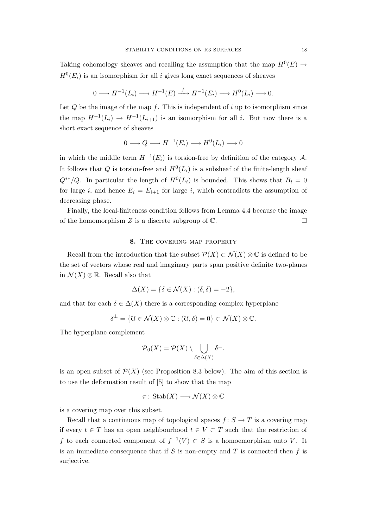Taking cohomology sheaves and recalling the assumption that the map  $H^0(E) \rightarrow$  $H^0(E_i)$  is an isomorphism for all i gives long exact sequences of sheaves

$$
0 \longrightarrow H^{-1}(L_i) \longrightarrow H^{-1}(E) \stackrel{f}{\longrightarrow} H^{-1}(E_i) \longrightarrow H^0(L_i) \longrightarrow 0.
$$

Let  $Q$  be the image of the map f. This is independent of i up to isomorphism since the map  $H^{-1}(L_i) \to H^{-1}(L_{i+1})$  is an isomorphism for all i. But now there is a short exact sequence of sheaves

$$
0 \longrightarrow Q \longrightarrow H^{-1}(E_i) \longrightarrow H^0(L_i) \longrightarrow 0
$$

in which the middle term  $H^{-1}(E_i)$  is torsion-free by definition of the category A. It follows that Q is torsion-free and  $H^0(L_i)$  is a subsheaf of the finite-length sheaf  $Q^{**}/Q$ . In particular the length of  $H^0(L_i)$  is bounded. This shows that  $B_i = 0$ for large i, and hence  $E_i = E_{i+1}$  for large i, which contradicts the assumption of decreasing phase.

Finally, the local-finiteness condition follows from Lemma 4.4 because the image of the homomorphism Z is a discrete subgroup of  $\mathbb{C}$ .

## 8. The covering map property

Recall from the introduction that the subset  $\mathcal{P}(X) \subset \mathcal{N}(X) \otimes \mathbb{C}$  is defined to be the set of vectors whose real and imaginary parts span positive definite two-planes in  $\mathcal{N}(X) \otimes \mathbb{R}$ . Recall also that

$$
\Delta(X) = \{ \delta \in \mathcal{N}(X) : (\delta, \delta) = -2 \},
$$

and that for each  $\delta \in \Delta(X)$  there is a corresponding complex hyperplane

$$
\delta^{\perp} = \{ \mho \in \mathcal{N}(X) \otimes \mathbb{C} : (\mho, \delta) = 0 \} \subset \mathcal{N}(X) \otimes \mathbb{C}.
$$

The hyperplane complement

$$
\mathcal{P}_0(X) = \mathcal{P}(X) \setminus \bigcup_{\delta \in \Delta(X)} \delta^{\perp}.
$$

is an open subset of  $\mathcal{P}(X)$  (see Proposition 8.3 below). The aim of this section is to use the deformation result of [5] to show that the map

$$
\pi\colon\operatorname{Stab}(X)\longrightarrow\mathcal{N}(X)\otimes\mathbb{C}
$$

is a covering map over this subset.

Recall that a continuous map of topological spaces  $f: S \to T$  is a covering map if every  $t \in T$  has an open neighbourhood  $t \in V \subset T$  such that the restriction of f to each connected component of  $f^{-1}(V) \subset S$  is a homoemorphism onto V. It is an immediate consequence that if  $S$  is non-empty and  $T$  is connected then  $f$  is surjective.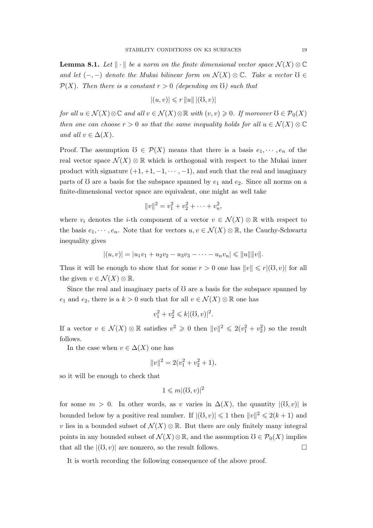**Lemma 8.1.** Let  $\|\cdot\|$  be a norm on the finite dimensional vector space  $\mathcal{N}(X) \otimes \mathbb{C}$ and let  $(-,-)$  denote the Mukai bilinear form on  $\mathcal{N}(X) \otimes \mathbb{C}$ . Take a vector  $\mathcal{O} \in$  $\mathcal{P}(X)$ . Then there is a constant  $r > 0$  (depending on G) such that

$$
|(u, v)| \leqslant r ||u|| |(\mathcal{O}, v)|
$$

for all  $u \in \mathcal{N}(X) \otimes \mathbb{C}$  and all  $v \in \mathcal{N}(X) \otimes \mathbb{R}$  with  $(v, v) \geq 0$ . If moreover  $\mathcal{O} \in \mathcal{P}_0(X)$ then one can choose  $r > 0$  so that the same inequality holds for all  $u \in \mathcal{N}(X) \otimes \mathbb{C}$ and all  $v \in \Delta(X)$ .

Proof. The assumption  $\mathcal{O} \in \mathcal{P}(X)$  means that there is a basis  $e_1, \dots, e_n$  of the real vector space  $\mathcal{N}(X) \otimes \mathbb{R}$  which is orthogonal with respect to the Mukai inner product with signature  $(+1, +1, -1, \dots, -1)$ , and such that the real and imaginary parts of  $\delta$  are a basis for the subspace spanned by  $e_1$  and  $e_2$ . Since all norms on a finite-dimensional vector space are equivalent, one might as well take

$$
||v||^2 = v_1^2 + v_2^2 + \dots + v_n^2,
$$

where  $v_i$  denotes the *i*-th component of a vector  $v \in \mathcal{N}(X) \otimes \mathbb{R}$  with respect to the basis  $e_1, \dots, e_n$ . Note that for vectors  $u, v \in \mathcal{N}(X) \otimes \mathbb{R}$ , the Cauchy-Schwartz inequality gives

$$
|(u,v)| = |u_1v_1 + u_2v_2 - u_3v_3 - \cdots - u_nv_n| \le ||u|| ||v||.
$$

Thus it will be enough to show that for some  $r > 0$  one has  $||v|| \le r|(0, v)|$  for all the given  $v \in \mathcal{N}(X) \otimes \mathbb{R}$ .

Since the real and imaginary parts of  $\sigma$  are a basis for the subspace spanned by e<sub>1</sub> and e<sub>2</sub>, there is a  $k > 0$  such that for all  $v \in \mathcal{N}(X) \otimes \mathbb{R}$  one has

$$
v_1^2 + v_2^2 \le k |(\mho, v)|^2.
$$

If a vector  $v \in \mathcal{N}(X) \otimes \mathbb{R}$  satisfies  $v^2 \geq 0$  then  $||v||^2 \leq 2(v_1^2 + v_2^2)$  so the result follows.

In the case when  $v \in \Delta(X)$  one has

$$
||v||^2 = 2(v_1^2 + v_2^2 + 1),
$$

so it will be enough to check that

$$
1 \leqslant m |(\mho, v)|^2
$$

for some  $m > 0$ . In other words, as v varies in  $\Delta(X)$ , the quantity  $|(\mathcal{O}, v)|$  is bounded below by a positive real number. If  $|(\mathcal{O}, v)| \leq 1$  then  $||v||^2 \leq 2(k+1)$  and v lies in a bounded subset of  $\mathcal{N}(X) \otimes \mathbb{R}$ . But there are only finitely many integral points in any bounded subset of  $\mathcal{N}(X)\otimes\mathbb{R}$ , and the assumption  $\mathcal{O}\in\mathcal{P}_0(X)$  implies that all the  $|(U, v)|$  are nonzero, so the result follows.

It is worth recording the following consequence of the above proof.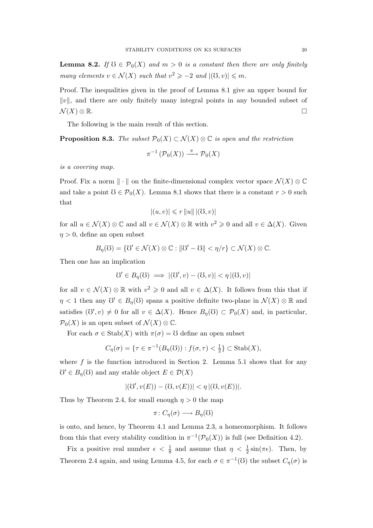**Lemma 8.2.** If  $\mathcal{O} \in \mathcal{P}_0(X)$  and  $m > 0$  is a constant then there are only finitely many elements  $v \in \mathcal{N}(X)$  such that  $v^2 \geq -2$  and  $|(\mathcal{O}, v)| \leq m$ .

Proof. The inequalities given in the proof of Lemma 8.1 give an upper bound for  $||v||$ , and there are only finitely many integral points in any bounded subset of  $\mathcal{N}(X) \otimes \mathbb{R}$ .

The following is the main result of this section.

**Proposition 8.3.** The subset  $\mathcal{P}_0(X) \subset \mathcal{N}(X) \otimes \mathbb{C}$  is open and the restriction

$$
\pi^{-1}(\mathcal{P}_0(X)) \xrightarrow{\pi} \mathcal{P}_0(X)
$$

is a covering map.

Proof. Fix a norm  $\|\cdot\|$  on the finite-dimensional complex vector space  $\mathcal{N}(X) \otimes \mathbb{C}$ and take a point  $\mathcal{O} \in \mathcal{P}_0(X)$ . Lemma 8.1 shows that there is a constant  $r > 0$  such that

$$
|(u, v)| \leqslant r ||u|| |(\mathcal{O}, v)|
$$

for all  $u \in \mathcal{N}(X) \otimes \mathbb{C}$  and all  $v \in \mathcal{N}(X) \otimes \mathbb{R}$  with  $v^2 \geq 0$  and all  $v \in \Delta(X)$ . Given  $\eta > 0$ , define an open subset

$$
B_{\eta}(\mathbb{U}) = \{ \mathbb{U}' \in \mathcal{N}(X) \otimes \mathbb{C} : ||\mathbb{U}' - \mathbb{U}|| < \eta/r \} \subset \mathcal{N}(X) \otimes \mathbb{C}.
$$

Then one has an implication

$$
\mathfrak{V}' \in B_{\eta}(\mathfrak{V}) \implies |(\mathfrak{V}', v) - (\mathfrak{V}, v)| < \eta \, |(\mathfrak{V}, v)|
$$

for all  $v \in \mathcal{N}(X) \otimes \mathbb{R}$  with  $v^2 \geq 0$  and all  $v \in \Delta(X)$ . It follows from this that if  $\eta$  < 1 then any  $\mathcal{O}' \in B_{\eta}(\mathcal{O})$  spans a positive definite two-plane in  $\mathcal{N}(X) \otimes \mathbb{R}$  and satisfies  $(\mathcal{O}', v) \neq 0$  for all  $v \in \Delta(X)$ . Hence  $B_{\eta}(\mathcal{O}) \subset \mathcal{P}_0(X)$  and, in particular,  $\mathcal{P}_0(X)$  is an open subset of  $\mathcal{N}(X) \otimes \mathbb{C}$ .

For each  $\sigma \in \text{Stab}(X)$  with  $\pi(\sigma) = \mathcal{O}$  define an open subset

$$
C_{\eta}(\sigma) = \{ \tau \in \pi^{-1}(B_{\eta}(\mathbb{U})): f(\sigma, \tau) < \frac{1}{2} \} \subset \text{Stab}(X),
$$

where  $f$  is the function introduced in Section 2. Lemma 5.1 shows that for any  $\mathcal{O}' \in B_{\eta}(\mathcal{O})$  and any stable object  $E \in \mathcal{D}(X)$ 

$$
|(\mho',v(E)) - (\mho,v(E))| < \eta \, |(\mho,v(E))|.
$$

Thus by Theorem 2.4, for small enough  $\eta > 0$  the map

$$
\pi\colon C_{\eta}(\sigma) \longrightarrow B_{\eta}(\mathcal{O})
$$

is onto, and hence, by Theorem 4.1 and Lemma 2.3, a homeomorphism. It follows from this that every stability condition in  $\pi^{-1}(\mathcal{P}_0(X))$  is full (see Definition 4.2).

Fix a positive real number  $\epsilon < \frac{1}{8}$  and assume that  $\eta < \frac{1}{2} \sin(\pi \epsilon)$ . Then, by Theorem 2.4 again, and using Lemma 4.5, for each  $\sigma \in \pi^{-1}(\mathcal{O})$  the subset  $C_{\eta}(\sigma)$  is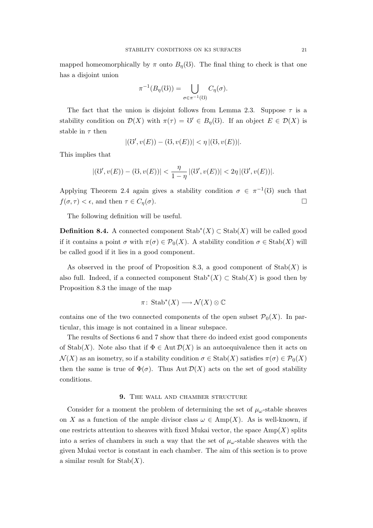mapped homeomorphically by  $\pi$  onto  $B_n(0)$ . The final thing to check is that one has a disjoint union

$$
\pi^{-1}(B_{\eta}(\mathfrak{V})) = \bigcup_{\sigma \in \pi^{-1}(\mathfrak{V})} C_{\eta}(\sigma).
$$

The fact that the union is disjoint follows from Lemma 2.3. Suppose  $\tau$  is a stability condition on  $\mathcal{D}(X)$  with  $\pi(\tau) = \mathcal{V} \in B_{\eta}(\mathcal{O})$ . If an object  $E \in \mathcal{D}(X)$  is stable in  $\tau$  then

$$
|(\mho', v(E)) - (\mho, v(E))| < \eta \, |(\mho, v(E))|.
$$

This implies that

$$
| ( \mho', v(E)) - (\mho, v(E)) | < \frac{\eta}{1 - \eta} | (\mho', v(E)) | < 2\eta \, | (\mho', v(E)) |.
$$

Applying Theorem 2.4 again gives a stability condition  $\sigma \in \pi^{-1}(\mathcal{O})$  such that  $f(\sigma, \tau) < \epsilon$ , and then  $\tau \in C_{\eta}(\sigma)$ .

The following definition will be useful.

**Definition 8.4.** A connected component  $\text{Stab}^*(X) \subset \text{Stab}(X)$  will be called good if it contains a point  $\sigma$  with  $\pi(\sigma) \in \mathcal{P}_0(X)$ . A stability condition  $\sigma \in \text{Stab}(X)$  will be called good if it lies in a good component.

As observed in the proof of Proposition 8.3, a good component of  $\text{Stab}(X)$  is also full. Indeed, if a connected component  $\text{Stab}^*(X) \subset \text{Stab}(X)$  is good then by Proposition 8.3 the image of the map

$$
\pi\colon\operatorname{Stab}^*(X)\longrightarrow\mathcal{N}(X)\otimes\mathbb{C}
$$

contains one of the two connected components of the open subset  $\mathcal{P}_0(X)$ . In particular, this image is not contained in a linear subspace.

The results of Sections 6 and 7 show that there do indeed exist good components of Stab(X). Note also that if  $\Phi \in \text{Aut } \mathcal{D}(X)$  is an autoequivalence then it acts on  $\mathcal{N}(X)$  as an isometry, so if a stability condition  $\sigma \in \text{Stab}(X)$  satisfies  $\pi(\sigma) \in \mathcal{P}_0(X)$ then the same is true of  $\Phi(\sigma)$ . Thus Aut  $\mathcal{D}(X)$  acts on the set of good stability conditions.

# 9. THE WALL AND CHAMBER STRUCTURE

Consider for a moment the problem of determining the set of  $\mu_{\omega}$ -stable sheaves on X as a function of the ample divisor class  $\omega \in \text{Amp}(X)$ . As is well-known, if one restricts attention to sheaves with fixed Mukai vector, the space  $\text{Amp}(X)$  splits into a series of chambers in such a way that the set of  $\mu_{\omega}$ -stable sheaves with the given Mukai vector is constant in each chamber. The aim of this section is to prove a similar result for  $\text{Stab}(X)$ .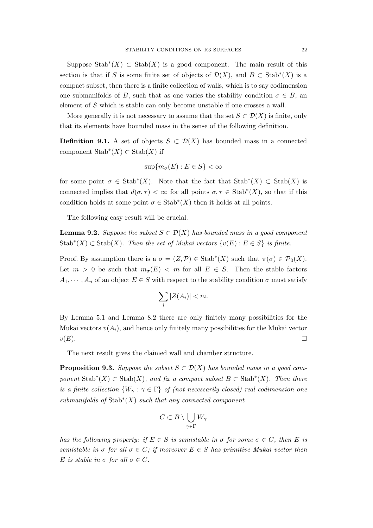Suppose  $\text{Stab}^*(X) \subset \text{Stab}(X)$  is a good component. The main result of this section is that if S is some finite set of objects of  $\mathcal{D}(X)$ , and  $B \subset \text{Stab}^*(X)$  is a compact subset, then there is a finite collection of walls, which is to say codimension one submanifolds of B, such that as one varies the stability condition  $\sigma \in B$ , an element of S which is stable can only become unstable if one crosses a wall.

More generally it is not necessary to assume that the set  $S \subset \mathcal{D}(X)$  is finite, only that its elements have bounded mass in the sense of the following definition.

**Definition 9.1.** A set of objects  $S \subset \mathcal{D}(X)$  has bounded mass in a connected component  $\text{Stab}^*(X) \subset \text{Stab}(X)$  if

$$
\sup\{m_{\sigma}(E) : E \in S\} < \infty
$$

for some point  $\sigma \in \text{Stab}^*(X)$ . Note that the fact that  $\text{Stab}^*(X) \subset \text{Stab}(X)$  is connected implies that  $d(\sigma, \tau) < \infty$  for all points  $\sigma, \tau \in \text{Stab}^*(X)$ , so that if this condition holds at some point  $\sigma \in \text{Stab}^*(X)$  then it holds at all points.

The following easy result will be crucial.

**Lemma 9.2.** Suppose the subset  $S \subset \mathcal{D}(X)$  has bounded mass in a good component Stab<sup>\*</sup>(X) ⊂ Stab(X). Then the set of Mukai vectors  $\{v(E) : E \in S\}$  is finite.

Proof. By assumption there is a  $\sigma = (Z, \mathcal{P}) \in \text{Stab}^*(X)$  such that  $\pi(\sigma) \in \mathcal{P}_0(X)$ . Let  $m > 0$  be such that  $m_{\sigma}(E) < m$  for all  $E \in S$ . Then the stable factors  $A_1, \dots, A_n$  of an object  $E \in S$  with respect to the stability condition  $\sigma$  must satisfy

$$
\sum_{i} |Z(A_i)| < m.
$$

By Lemma 5.1 and Lemma 8.2 there are only finitely many possibilities for the Mukai vectors  $v(A_i)$ , and hence only finitely many possibilities for the Mukai vector  $v(E)$ .

The next result gives the claimed wall and chamber structure.

**Proposition 9.3.** Suppose the subset  $S \subset \mathcal{D}(X)$  has bounded mass in a good component  $\text{Stab}^*(X) \subset \text{Stab}(X)$ , and fix a compact subset  $B \subset \text{Stab}^*(X)$ . Then there is a finite collection  $\{W_\gamma : \gamma \in \Gamma\}$  of (not necessarily closed) real codimension one  $submanifolds of Stab<sup>*</sup>(X) such that any connected component$ 

$$
C \subset B \setminus \bigcup_{\gamma \in \Gamma} W_{\gamma}
$$

has the following property: if  $E \in S$  is semistable in  $\sigma$  for some  $\sigma \in C$ , then E is semistable in  $\sigma$  for all  $\sigma \in C$ ; if moreover  $E \in S$  has primitive Mukai vector then E is stable in  $\sigma$  for all  $\sigma \in C$ .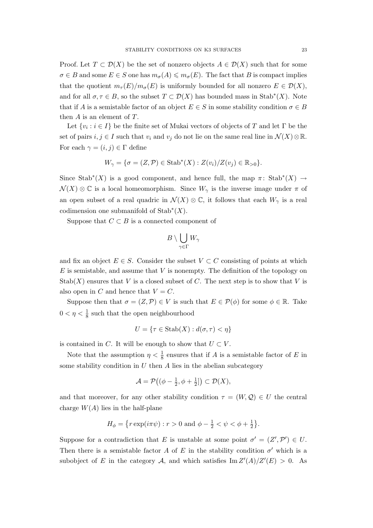Proof. Let  $T \subset \mathcal{D}(X)$  be the set of nonzero objects  $A \in \mathcal{D}(X)$  such that for some  $\sigma \in B$  and some  $E \in S$  one has  $m_{\sigma}(A) \leq m_{\sigma}(E)$ . The fact that B is compact implies that the quotient  $m_{\tau}(E)/m_{\sigma}(E)$  is uniformly bounded for all nonzero  $E \in \mathcal{D}(X)$ , and for all  $\sigma, \tau \in B$ , so the subset  $T \subset \mathcal{D}(X)$  has bounded mass in Stab<sup>\*</sup>(X). Note that if A is a semistable factor of an object  $E \in S$  in some stability condition  $\sigma \in B$ then  $A$  is an element of  $T$ .

Let  $\{v_i : i \in I\}$  be the finite set of Mukai vectors of objects of T and let  $\Gamma$  be the set of pairs  $i, j \in I$  such that  $v_i$  and  $v_j$  do not lie on the same real line in  $\mathcal{N}(X) \otimes \mathbb{R}$ . For each  $\gamma = (i, j) \in \Gamma$  define

$$
W_{\gamma} = \{ \sigma = (Z, \mathcal{P}) \in \text{Stab}^*(X) : Z(v_i)/Z(v_j) \in \mathbb{R}_{>0} \}.
$$

Since Stab<sup>\*</sup>(X) is a good component, and hence full, the map  $\pi$ : Stab<sup>\*</sup>(X) →  $\mathcal{N}(X) \otimes \mathbb{C}$  is a local homeomorphism. Since  $W_{\gamma}$  is the inverse image under  $\pi$  of an open subset of a real quadric in  $\mathcal{N}(X) \otimes \mathbb{C}$ , it follows that each  $W_{\gamma}$  is a real codimension one submanifold of  $\text{Stab}^*(X)$ .

Suppose that  $C \subset B$  is a connected component of

$$
B\setminus \bigcup_{\gamma\in \Gamma} W_\gamma
$$

and fix an object  $E \in S$ . Consider the subset  $V \subset C$  consisting of points at which  $E$  is semistable, and assume that  $V$  is nonempty. The definition of the topology on  $\mathrm{Stab}(X)$  ensures that V is a closed subset of C. The next step is to show that V is also open in C and hence that  $V = C$ .

Suppose then that  $\sigma = (Z, \mathcal{P}) \in V$  is such that  $E \in \mathcal{P}(\phi)$  for some  $\phi \in \mathbb{R}$ . Take  $0<\eta<\frac{1}{8}$  such that the open neighbourhood

$$
U = \{ \tau \in \text{Stab}(X) : d(\sigma, \tau) < \eta \}
$$

is contained in C. It will be enough to show that  $U \subset V$ .

Note that the assumption  $\eta < \frac{1}{8}$  ensures that if A is a semistable factor of E in some stability condition in  $U$  then  $A$  lies in the abelian subcategory

$$
\mathcal{A} = \mathcal{P}((\phi - \frac{1}{2}, \phi + \frac{1}{2}]) \subset \mathcal{D}(X),
$$

and that moreover, for any other stability condition  $\tau = (W, \mathcal{Q}) \in U$  the central charge  $W(A)$  lies in the half-plane

$$
H_{\phi} = \{ r \exp(i\pi\psi) : r > 0 \text{ and } \phi - \frac{1}{2} < \psi < \phi + \frac{1}{2} \}.
$$

Suppose for a contradiction that E is unstable at some point  $\sigma' = (Z', \mathcal{P}') \in U$ . Then there is a semistable factor A of E in the stability condition  $\sigma'$  which is a subobject of E in the category A, and which satisfies  $\text{Im }Z'(A)/Z'(E) > 0$ . As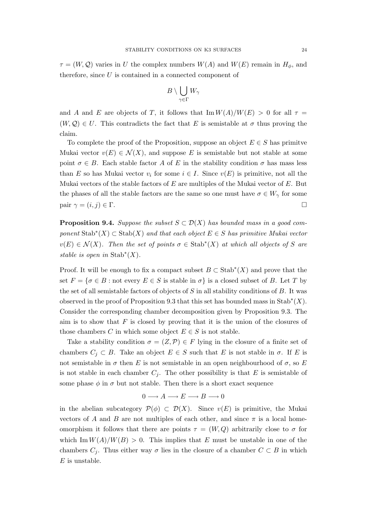$\tau = (W, \mathcal{Q})$  varies in U the complex numbers  $W(A)$  and  $W(E)$  remain in  $H_{\phi}$ , and therefore, since  $U$  is contained in a connected component of

$$
B\setminus \bigcup_{\gamma\in \Gamma} W_\gamma
$$

and A and E are objects of T, it follows that  $\text{Im} W(A)/W(E) > 0$  for all  $\tau =$  $(W, \mathcal{Q}) \in U$ . This contradicts the fact that E is semistable at  $\sigma$  thus proving the claim.

To complete the proof of the Proposition, suppose an object  $E \in S$  has primit ve Mukai vector  $v(E) \in \mathcal{N}(X)$ , and suppose E is semistable but not stable at some point  $\sigma \in B$ . Each stable factor A of E in the stability condition  $\sigma$  has mass less than E so has Mukai vector  $v_i$  for some  $i \in I$ . Since  $v(E)$  is primitive, not all the Mukai vectors of the stable factors of  $E$  are multiples of the Mukai vector of  $E$ . But the phases of all the stable factors are the same so one must have  $\sigma \in W_{\gamma}$  for some pair  $\gamma = (i, j) \in \Gamma$ .

**Proposition 9.4.** Suppose the subset  $S \subset \mathcal{D}(X)$  has bounded mass in a good component  $\text{Stab}^*(X) \subset \text{Stab}(X)$  and that each object  $E \in S$  has primitive Mukai vector  $v(E) \in \mathcal{N}(X)$ . Then the set of points  $\sigma \in \text{Stab}^*(X)$  at which all objects of S are stable is open in  $\text{Stab}^*(X)$ .

Proof. It will be enough to fix a compact subset  $B \subset \text{Stab}^*(X)$  and prove that the set  $F = \{\sigma \in B : \text{not every } E \in S \text{ is stable in } \sigma\}$  is a closed subset of B. Let T by the set of all semistable factors of objects of  $S$  in all stability conditions of  $B$ . It was observed in the proof of Proposition 9.3 that this set has bounded mass in  $\text{Stab}^*(X)$ . Consider the corresponding chamber decomposition given by Proposition 9.3. The aim is to show that  $F$  is closed by proving that it is the union of the closures of those chambers C in which some object  $E \in S$  is not stable.

Take a stability condition  $\sigma = (Z, \mathcal{P}) \in F$  lying in the closure of a finite set of chambers  $C_j \subset B$ . Take an object  $E \in S$  such that E is not stable in  $\sigma$ . If E is not semistable in  $\sigma$  then E is not semistable in an open neighbourhood of  $\sigma$ , so E is not stable in each chamber  $C_j$ . The other possibility is that E is semistable of some phase  $\phi$  in  $\sigma$  but not stable. Then there is a short exact sequence

$$
0 \longrightarrow A \longrightarrow E \longrightarrow B \longrightarrow 0
$$

in the abelian subcategory  $\mathcal{P}(\phi) \subset \mathcal{D}(X)$ . Since  $v(E)$  is primitive, the Mukai vectors of A and B are not multiples of each other, and since  $\pi$  is a local homeomorphism it follows that there are points  $\tau = (W, Q)$  arbitrarily close to  $\sigma$  for which Im  $W(A)/W(B) > 0$ . This implies that E must be unstable in one of the chambers  $C_i$ . Thus either way  $\sigma$  lies in the closure of a chamber  $C \subset B$  in which  $E$  is unstable.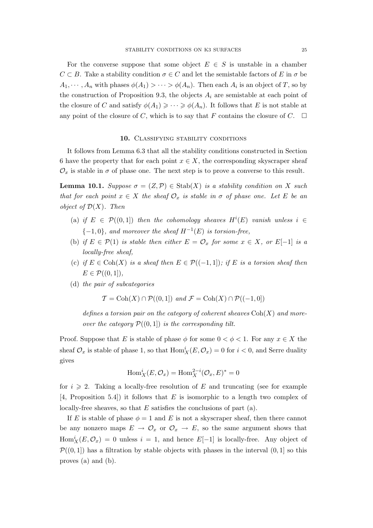For the converse suppose that some object  $E \in S$  is unstable in a chamber  $C \subset B$ . Take a stability condition  $\sigma \in C$  and let the semistable factors of E in  $\sigma$  be  $A_1, \dots, A_n$  with phases  $\phi(A_1) > \dots > \phi(A_n)$ . Then each  $A_i$  is an object of T, so by the construction of Proposition 9.3, the objects  $A_i$  are semistable at each point of the closure of C and satisfy  $\phi(A_1) \geq \cdots \geq \phi(A_n)$ . It follows that E is not stable at any point of the closure of C, which is to say that F contains the closure of C.  $\Box$ 

#### 10. CLASSIFYING STABILITY CONDITIONS

It follows from Lemma 6.3 that all the stability conditions constructed in Section 6 have the property that for each point  $x \in X$ , the corresponding skyscraper sheaf  $\mathcal{O}_x$  is stable in  $\sigma$  of phase one. The next step is to prove a converse to this result.

**Lemma 10.1.** Suppose  $\sigma = (Z, \mathcal{P}) \in \text{Stab}(X)$  is a stability condition on X such that for each point  $x \in X$  the sheaf  $\mathcal{O}_x$  is stable in  $\sigma$  of phase one. Let E be an object of  $\mathcal{D}(X)$ . Then

- (a) if  $E \in \mathcal{P}((0,1])$  then the cohomology sheaves  $H^{i}(E)$  vanish unless  $i \in$  ${-1,0}$ , and moreover the sheaf  $H^{-1}(E)$  is torsion-free,
- (b) if  $E \in \mathcal{P}(1)$  is stable then either  $E = \mathcal{O}_x$  for some  $x \in X$ , or  $E[-1]$  is a locally-free sheaf,
- (c) if  $E \in \text{Coh}(X)$  is a sheaf then  $E \in \mathcal{P}((-1,1])$ ; if E is a torsion sheaf then  $E \in \mathcal{P}((0,1]),$
- (d) the pair of subcategories

$$
\mathcal{T} = \text{Coh}(X) \cap \mathcal{P}((0,1]) \text{ and } \mathcal{F} = \text{Coh}(X) \cap \mathcal{P}((-1,0])
$$

defines a torsion pair on the category of coherent sheaves  $\text{Coh}(X)$  and moreover the category  $\mathcal{P}((0, 1])$  is the corresponding tilt.

Proof. Suppose that E is stable of phase  $\phi$  for some  $0 < \phi < 1$ . For any  $x \in X$  the sheaf  $\mathcal{O}_x$  is stable of phase 1, so that  $\text{Hom}_X^i(E, \mathcal{O}_x) = 0$  for  $i < 0$ , and Serre duality gives

$$
\operatorname{Hom}_X^i(E, \mathcal{O}_x) = \operatorname{Hom}_X^{2-i}(\mathcal{O}_x, E)^* = 0
$$

for  $i \geqslant 2$ . Taking a locally-free resolution of E and truncating (see for example [4, Proposition 5.4]) it follows that E is isomorphic to a length two complex of locally-free sheaves, so that  $E$  satisfies the conclusions of part (a).

If E is stable of phase  $\phi = 1$  and E is not a skyscraper sheaf, then there cannot be any nonzero maps  $E \to \mathcal{O}_x$  or  $\mathcal{O}_x \to E$ , so the same argument shows that  $\text{Hom}_X^i(E, \mathcal{O}_x) = 0$  unless  $i = 1$ , and hence  $E[-1]$  is locally-free. Any object of  $\mathcal{P}((0, 1))$  has a filtration by stable objects with phases in the interval  $(0, 1]$  so this proves (a) and (b).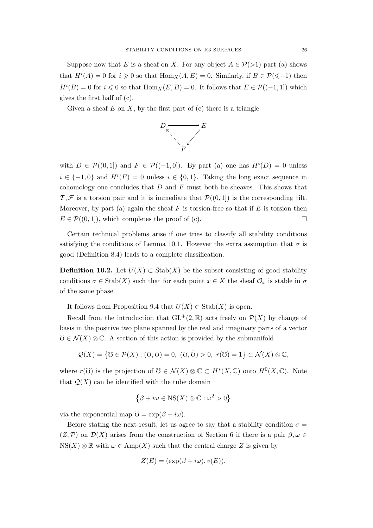Suppose now that E is a sheaf on X. For any object  $A \in \mathcal{P}(>1)$  part (a) shows that  $H^{i}(A) = 0$  for  $i \geq 0$  so that  $\text{Hom}_{X}(A, E) = 0$ . Similarly, if  $B \in \mathcal{P}(\leq 1)$  then  $H^{i}(B) = 0$  for  $i \leq 0$  so that  $\text{Hom}_{X}(E, B) = 0$ . It follows that  $E \in \mathcal{P}((-1, 1])$  which gives the first half of (c).

Given a sheaf  $E$  on  $X$ , by the first part of  $(c)$  there is a triangle



with  $D \in \mathcal{P}((0,1])$  and  $F \in \mathcal{P}((-1,0])$ . By part (a) one has  $H^{i}(D) = 0$  unless  $i \in \{-1,0\}$  and  $H^{i}(F) = 0$  unless  $i \in \{0,1\}$ . Taking the long exact sequence in cohomology one concludes that  $D$  and  $F$  must both be sheaves. This shows that  $\mathcal{T}, \mathcal{F}$  is a torsion pair and it is immediate that  $\mathcal{P}((0, 1))$  is the corresponding tilt. Moreover, by part (a) again the sheaf  $F$  is torsion-free so that if  $E$  is torsion then  $E \in \mathcal{P}((0, 1]),$  which completes the proof of (c).

Certain technical problems arise if one tries to classify all stability conditions satisfying the conditions of Lemma 10.1. However the extra assumption that  $\sigma$  is good (Definition 8.4) leads to a complete classification.

**Definition 10.2.** Let  $U(X)$  ⊂ Stab(X) be the subset consisting of good stability conditions  $\sigma \in \text{Stab}(X)$  such that for each point  $x \in X$  the sheaf  $\mathcal{O}_x$  is stable in  $\sigma$ of the same phase.

It follows from Proposition 9.4 that  $U(X) \subset$  Stab $(X)$  is open.

Recall from the introduction that  $GL^+(2,\mathbb{R})$  acts freely on  $\mathcal{P}(X)$  by change of basis in the positive two plane spanned by the real and imaginary parts of a vector  $\mathcal{O} \in \mathcal{N}(X) \otimes \mathbb{C}$ . A section of this action is provided by the submanifold

$$
\mathcal{Q}(X) = \{ \mathcal{U} \in \mathcal{P}(X) : (\mathcal{U}, \mathcal{U}) = 0, \ (\mathcal{U}, \bar{\mathcal{U}}) > 0, \ r(\mathcal{U}) = 1 \} \subset \mathcal{N}(X) \otimes \mathbb{C},
$$

where  $r(\mathcal{O})$  is the projection of  $\mathcal{O} \in \mathcal{N}(X) \otimes \mathbb{C} \subset H^*(X, \mathbb{C})$  onto  $H^0(X, \mathbb{C})$ . Note that  $\mathcal{Q}(X)$  can be identified with the tube domain

$$
\{\beta + i\omega \in \text{NS}(X) \otimes \mathbb{C} : \omega^2 > 0\}
$$

via the exponential map  $\mathfrak{V} = \exp(\beta + i\omega)$ .

Before stating the next result, let us agree to say that a stability condition  $\sigma =$  $(Z,\mathcal{P})$  on  $\mathcal{D}(X)$  arises from the construction of Section 6 if there is a pair  $\beta,\omega \in \mathcal{D}(X)$  $NS(X) \otimes \mathbb{R}$  with  $\omega \in \text{Amp}(X)$  such that the central charge Z is given by

$$
Z(E) = (\exp(\beta + i\omega), v(E)),
$$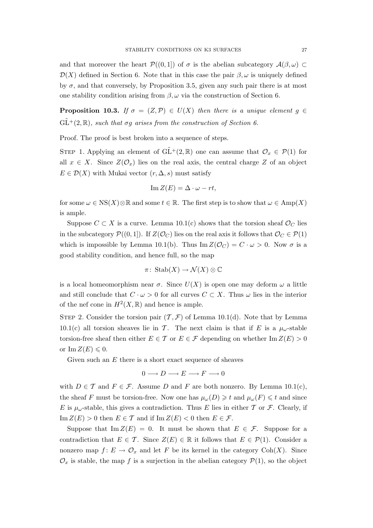and that moreover the heart  $\mathcal{P}((0,1])$  of  $\sigma$  is the abelian subcategory  $\mathcal{A}(\beta,\omega) \subset$  $\mathcal{D}(X)$  defined in Section 6. Note that in this case the pair  $\beta, \omega$  is uniquely defined by  $\sigma$ , and that conversely, by Proposition 3.5, given any such pair there is at most one stability condition arising from  $\beta$ ,  $\omega$  via the construction of Section 6.

**Proposition 10.3.** If  $\sigma = (Z, \mathcal{P}) \in U(X)$  then there is a unique element  $g \in$  $GL^+(2,\mathbb{R})$ , such that  $\sigma q$  arises from the construction of Section 6.

Proof. The proof is best broken into a sequence of steps.

STEP 1. Applying an element of  $GL^+(2,\mathbb{R})$  one can assume that  $\mathcal{O}_x \in \mathcal{P}(1)$  for all  $x \in X$ . Since  $Z(\mathcal{O}_x)$  lies on the real axis, the central charge Z of an object  $E \in \mathcal{D}(X)$  with Mukai vector  $(r, \Delta, s)$  must satisfy

$$
\operatorname{Im} Z(E) = \Delta \cdot \omega - rt,
$$

for some  $\omega \in \text{NS}(X) \otimes \mathbb{R}$  and some  $t \in \mathbb{R}$ . The first step is to show that  $\omega \in \text{Amp}(X)$ is ample.

Suppose  $C \subset X$  is a curve. Lemma 10.1(c) shows that the torsion sheaf  $\mathcal{O}_C$  lies in the subcategory  $\mathcal{P}((0,1])$ . If  $Z(\mathcal{O}_C)$  lies on the real axis it follows that  $\mathcal{O}_C \in \mathcal{P}(1)$ which is impossible by Lemma 10.1(b). Thus  $\text{Im }Z(\mathcal{O}_C) = C \cdot \omega > 0$ . Now  $\sigma$  is a good stability condition, and hence full, so the map

$$
\pi\colon\operatorname{Stab}(X)\to\mathcal{N}(X)\otimes\mathbb{C}
$$

is a local homeomorphism near  $\sigma$ . Since  $U(X)$  is open one may deform  $\omega$  a little and still conclude that  $C \cdot \omega > 0$  for all curves  $C \subset X$ . Thus  $\omega$  lies in the interior of the nef cone in  $H^2(X,\mathbb{R})$  and hence is ample.

STEP 2. Consider the torsion pair  $(\mathcal{T}, \mathcal{F})$  of Lemma 10.1(d). Note that by Lemma 10.1(c) all torsion sheaves lie in T. The next claim is that if E is a  $\mu_{\omega}$ -stable torsion-free sheaf then either  $E \in \mathcal{T}$  or  $E \in \mathcal{F}$  depending on whether Im  $Z(E) > 0$ or Im  $Z(E) \leq 0$ .

Given such an  $E$  there is a short exact sequence of sheaves

$$
0\longrightarrow D\longrightarrow E\longrightarrow F\longrightarrow 0
$$

with  $D \in \mathcal{T}$  and  $F \in \mathcal{F}$ . Assume D and F are both nonzero. By Lemma 10.1(c), the sheaf F must be torsion-free. Now one has  $\mu_\omega(D) \geq t$  and  $\mu_\omega(F) \leq t$  and since E is  $\mu_{\omega}$ -stable, this gives a contradiction. Thus E lies in either T or F. Clearly, if  $\text{Im } Z(E) > 0$  then  $E \in \mathcal{T}$  and if  $\text{Im } Z(E) < 0$  then  $E \in \mathcal{F}$ .

Suppose that Im  $Z(E) = 0$ . It must be shown that  $E \in \mathcal{F}$ . Suppose for a contradiction that  $E \in \mathcal{T}$ . Since  $Z(E) \in \mathbb{R}$  it follows that  $E \in \mathcal{P}(1)$ . Consider a nonzero map  $f: E \to \mathcal{O}_x$  and let F be its kernel in the category Coh(X). Since  $\mathcal{O}_x$  is stable, the map f is a surjection in the abelian category  $\mathcal{P}(1)$ , so the object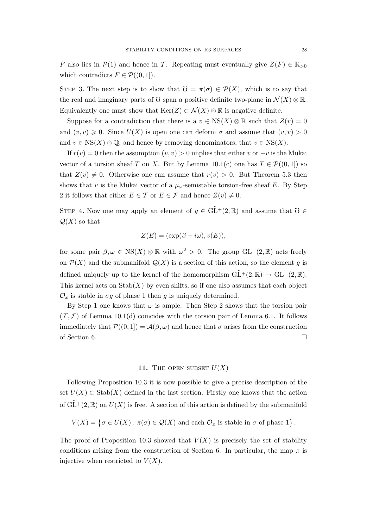F also lies in  $\mathcal{P}(1)$  and hence in T. Repeating must eventually give  $Z(F) \in \mathbb{R}_{>0}$ which contradicts  $F \in \mathcal{P}((0,1]).$ 

STEP 3. The next step is to show that  $\mathfrak{V} = \pi(\sigma) \in \mathcal{P}(X)$ , which is to say that the real and imaginary parts of U span a positive definite two-plane in  $\mathcal{N}(X) \otimes \mathbb{R}$ . Equivalently one must show that  $\text{Ker}(Z) \subset \mathcal{N}(X) \otimes \mathbb{R}$  is negative definite.

Suppose for a contradiction that there is a  $v \in \text{NS}(X) \otimes \mathbb{R}$  such that  $Z(v) = 0$ and  $(v, v) \geq 0$ . Since  $U(X)$  is open one can deform  $\sigma$  and assume that  $(v, v) > 0$ and  $v \in \text{NS}(X) \otimes \mathbb{Q}$ , and hence by removing denominators, that  $v \in \text{NS}(X)$ .

If  $r(v) = 0$  then the assumption  $(v, v) > 0$  implies that either v or  $-v$  is the Mukai vector of a torsion sheaf T on X. But by Lemma  $10.1(c)$  one has  $T \in \mathcal{P}((0,1])$  so that  $Z(v) \neq 0$ . Otherwise one can assume that  $r(v) > 0$ . But Theorem 5.3 then shows that v is the Mukai vector of a  $\mu_{\omega}$ -semistable torsion-free sheaf E. By Step 2 it follows that either  $E \in \mathcal{T}$  or  $E \in \mathcal{F}$  and hence  $Z(v) \neq 0$ .

STEP 4. Now one may apply an element of  $g \in \widetilde{GL}^+(2,\mathbb{R})$  and assume that  $\mathcal{O} \in$  $\mathcal{Q}(X)$  so that

$$
Z(E) = (\exp(\beta + i\omega), v(E)),
$$

for some pair  $\beta, \omega \in \text{NS}(X) \otimes \mathbb{R}$  with  $\omega^2 > 0$ . The group  $GL^+(2, \mathbb{R})$  acts freely on  $\mathcal{P}(X)$  and the submanifold  $\mathcal{Q}(X)$  is a section of this action, so the element g is defined uniquely up to the kernel of the homomorphism  $GL^+(2,\mathbb{R}) \to GL^+(2,\mathbb{R})$ . This kernel acts on  $\text{Stab}(X)$  by even shifts, so if one also assumes that each object  $\mathcal{O}_x$  is stable in  $\sigma g$  of phase 1 then g is uniquely determined.

By Step 1 one knows that  $\omega$  is ample. Then Step 2 shows that the torsion pair  $(\mathcal{T}, \mathcal{F})$  of Lemma 10.1(d) coincides with the torsion pair of Lemma 6.1. It follows immediately that  $\mathcal{P}((0,1]) = \mathcal{A}(\beta,\omega)$  and hence that  $\sigma$  arises from the construction of Section 6.  $\Box$ 

### 11. THE OPEN SUBSET  $U(X)$

Following Proposition 10.3 it is now possible to give a precise description of the set  $U(X) \subset$  Stab $(X)$  defined in the last section. Firstly one knows that the action of  $\tilde{GL}^+(2,\mathbb{R})$  on  $U(X)$  is free. A section of this action is defined by the submanifold

$$
V(X) = \{ \sigma \in U(X) : \pi(\sigma) \in \mathcal{Q}(X) \text{ and each } \mathcal{O}_x \text{ is stable in } \sigma \text{ of phase 1} \}.
$$

The proof of Proposition 10.3 showed that  $V(X)$  is precisely the set of stability conditions arising from the construction of Section 6. In particular, the map  $\pi$  is injective when restricted to  $V(X)$ .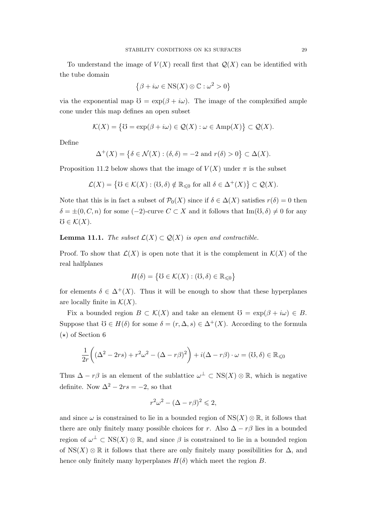To understand the image of  $V(X)$  recall first that  $Q(X)$  can be identified with the tube domain

$$
\{\beta + i\omega \in \text{NS}(X) \otimes \mathbb{C} : \omega^2 > 0\}
$$

via the exponential map  $\mathfrak{V} = \exp(\beta + i\omega)$ . The image of the complexified ample cone under this map defines an open subset

$$
\mathcal{K}(X) = \{ \mathcal{U} = \exp(\beta + i\omega) \in \mathcal{Q}(X) : \omega \in \text{Amp}(X) \} \subset \mathcal{Q}(X).
$$

Define

$$
\Delta^+(X) = \{ \delta \in \mathcal{N}(X) : (\delta, \delta) = -2 \text{ and } r(\delta) > 0 \} \subset \Delta(X).
$$

Proposition 11.2 below shows that the image of  $V(X)$  under  $\pi$  is the subset

$$
\mathcal{L}(X) = \left\{ \mathbb{U} \in \mathcal{K}(X) : (\mathbb{U}, \delta) \notin \mathbb{R}_{\leq 0} \text{ for all } \delta \in \Delta^+(X) \right\} \subset \mathcal{Q}(X).
$$

Note that this is in fact a subset of  $\mathcal{P}_0(X)$  since if  $\delta \in \Delta(X)$  satisfies  $r(\delta) = 0$  then  $\delta = \pm (0, C, n)$  for some  $(-2)$ -curve  $C \subset X$  and it follows that Im( $\mathcal{O}, \delta \neq 0$  for any  $\mho \in \mathcal{K}(X)$ .

**Lemma 11.1.** The subset  $\mathcal{L}(X) \subset \mathcal{Q}(X)$  is open and contractible.

Proof. To show that  $\mathcal{L}(X)$  is open note that it is the complement in  $\mathcal{K}(X)$  of the real halfplanes

$$
H(\delta) = \big\{ \mathbb{U} \in \mathcal{K}(X) : (\mathbb{U}, \delta) \in \mathbb{R}_{\leq 0} \big\}
$$

for elements  $\delta \in \Delta^+(X)$ . Thus it will be enough to show that these hyperplanes are locally finite in  $\mathcal{K}(X)$ .

Fix a bounded region  $B \subset \mathcal{K}(X)$  and take an element  $\mathcal{O} = \exp(\beta + i\omega) \in B$ . Suppose that  $\mathfrak{O} \in H(\delta)$  for some  $\delta = (r, \Delta, s) \in \Delta^+(X)$ . According to the formula  $(\star)$  of Section 6

$$
\frac{1}{2r}\left((\Delta^2 - 2rs) + r^2\omega^2 - (\Delta - r\beta)^2\right) + i(\Delta - r\beta) \cdot \omega = (0, \delta) \in \mathbb{R}_{\leq 0}
$$

Thus  $\Delta - r\beta$  is an element of the sublattice  $\omega^{\perp} \subset \text{NS}(X) \otimes \mathbb{R}$ , which is negative definite. Now  $\Delta^2 - 2rs = -2$ , so that

$$
r^2\omega^2 - (\Delta - r\beta)^2 \leq 2,
$$

and since  $\omega$  is constrained to lie in a bounded region of  $NS(X) \otimes \mathbb{R}$ , it follows that there are only finitely many possible choices for r. Also  $\Delta - r\beta$  lies in a bounded region of  $\omega^{\perp} \subset \text{NS}(X) \otimes \mathbb{R}$ , and since  $\beta$  is constrained to lie in a bounded region of NS(X) ⊗ R it follows that there are only finitely many possibilities for  $\Delta$ , and hence only finitely many hyperplanes  $H(\delta)$  which meet the region B.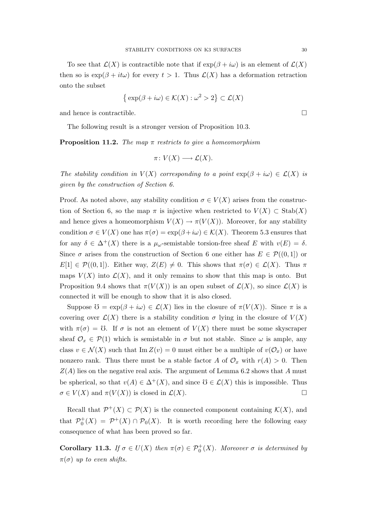To see that  $\mathcal{L}(X)$  is contractible note that if  $\exp(\beta + i\omega)$  is an element of  $\mathcal{L}(X)$ then so is  $\exp(\beta + it\omega)$  for every  $t > 1$ . Thus  $\mathcal{L}(X)$  has a deformation retraction onto the subset

$$
\{\exp(\beta + i\omega) \in \mathcal{K}(X) : \omega^2 > 2\} \subset \mathcal{L}(X)
$$

and hence is contractible.  $\Box$ 

The following result is a stronger version of Proposition 10.3.

**Proposition 11.2.** The map  $\pi$  restricts to give a homeomorphism

$$
\pi\colon V(X)\longrightarrow \mathcal{L}(X).
$$

The stability condition in  $V(X)$  corresponding to a point  $\exp(\beta + i\omega) \in \mathcal{L}(X)$  is given by the construction of Section 6.

Proof. As noted above, any stability condition  $\sigma \in V(X)$  arises from the construction of Section 6, so the map  $\pi$  is injective when restricted to  $V(X) \subset$  Stab $(X)$ and hence gives a homeomorphism  $V(X) \to \pi(V(X))$ . Moreover, for any stability condition  $\sigma \in V(X)$  one has  $\pi(\sigma) = \exp(\beta + i\omega) \in \mathcal{K}(X)$ . Theorem 5.3 ensures that for any  $\delta \in \Delta^+(X)$  there is a  $\mu_\omega$ -semistable torsion-free sheaf E with  $v(E) = \delta$ . Since  $\sigma$  arises from the construction of Section 6 one either has  $E \in \mathcal{P}((0,1])$  or  $E[1] \in \mathcal{P}((0,1])$ . Either way,  $Z(E) \neq 0$ . This shows that  $\pi(\sigma) \in \mathcal{L}(X)$ . Thus  $\pi$ maps  $V(X)$  into  $\mathcal{L}(X)$ , and it only remains to show that this map is onto. But Proposition 9.4 shows that  $\pi(V(X))$  is an open subset of  $\mathcal{L}(X)$ , so since  $\mathcal{L}(X)$  is connected it will be enough to show that it is also closed.

Suppose  $\mathcal{O} = \exp(\beta + i\omega) \in \mathcal{L}(X)$  lies in the closure of  $\pi(V(X))$ . Since  $\pi$  is a covering over  $\mathcal{L}(X)$  there is a stability condition  $\sigma$  lying in the closure of  $V(X)$ with  $\pi(\sigma) = \mathcal{O}$ . If  $\sigma$  is not an element of  $V(X)$  there must be some skyscraper sheaf  $\mathcal{O}_x \in \mathcal{P}(1)$  which is semistable in  $\sigma$  but not stable. Since  $\omega$  is ample, any class  $v \in \mathcal{N}(X)$  such that Im  $Z(v) = 0$  must either be a multiple of  $v(\mathcal{O}_x)$  or have nonzero rank. Thus there must be a stable factor A of  $\mathcal{O}_x$  with  $r(A) > 0$ . Then  $Z(A)$  lies on the negative real axis. The argument of Lemma 6.2 shows that A must be spherical, so that  $v(A) \in \Delta^+(X)$ , and since  $\mathcal{O} \in \mathcal{L}(X)$  this is impossible. Thus  $\sigma \in V(X)$  and  $\pi(V(X))$  is closed in  $\mathcal{L}(X)$ .

Recall that  $\mathcal{P}^+(X) \subset \mathcal{P}(X)$  is the connected component containing  $\mathcal{K}(X)$ , and that  $\mathcal{P}_0^+(X) = \mathcal{P}^+(X) \cap \mathcal{P}_0(X)$ . It is worth recording here the following easy consequence of what has been proved so far.

**Corollary 11.3.** If  $\sigma \in U(X)$  then  $\pi(\sigma) \in \mathcal{P}_0^+(X)$ . Moreover  $\sigma$  is determined by  $\pi(\sigma)$  up to even shifts.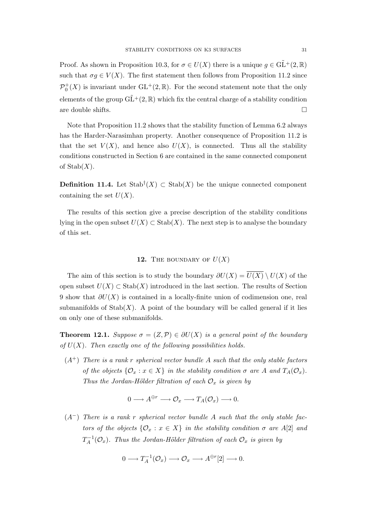Proof. As shown in Proposition 10.3, for  $\sigma \in U(X)$  there is a unique  $g \in \widetilde{GL}^+(2,\mathbb{R})$ such that  $\sigma g \in V(X)$ . The first statement then follows from Proposition 11.2 since  $\mathcal{P}_0^+(X)$  is invariant under  $\mathrm{GL}^+(2,\mathbb{R})$ . For the second statement note that the only elements of the group  $\tilde{GL}^+(2,\mathbb{R})$  which fix the central charge of a stability condition are double shifts.  $\Box$ 

Note that Proposition 11.2 shows that the stability function of Lemma 6.2 always has the Harder-Narasimhan property. Another consequence of Proposition 11.2 is that the set  $V(X)$ , and hence also  $U(X)$ , is connected. Thus all the stability conditions constructed in Section 6 are contained in the same connected component of  $\mathrm{Stab}(X)$ .

**Definition 11.4.** Let  $\text{Stab}^{\dagger}(X) \subset \text{Stab}(X)$  be the unique connected component containing the set  $U(X)$ .

The results of this section give a precise description of the stability conditions lying in the open subset  $U(X) \subset$  Stab $(X)$ . The next step is to analyse the boundary of this set.

# 12. THE BOUNDARY OF  $U(X)$

The aim of this section is to study the boundary  $\partial U(X) = \overline{U(X)} \setminus U(X)$  of the open subset  $U(X) \subset \text{Stab}(X)$  introduced in the last section. The results of Section 9 show that  $\partial U(X)$  is contained in a locally-finite union of codimension one, real submanifolds of  $\text{Stab}(X)$ . A point of the boundary will be called general if it lies on only one of these submanifolds.

**Theorem 12.1.** Suppose  $\sigma = (Z, \mathcal{P}) \in \partial U(X)$  is a general point of the boundary of  $U(X)$ . Then exactly one of the following possibilities holds.

 $(A^+)$  There is a rank r spherical vector bundle A such that the only stable factors of the objects  $\{\mathcal{O}_x : x \in X\}$  in the stability condition  $\sigma$  are A and  $T_A(\mathcal{O}_x)$ . Thus the Jordan-Hölder filtration of each  $\mathcal{O}_x$  is given by

$$
0 \longrightarrow A^{\oplus r} \longrightarrow \mathcal{O}_x \longrightarrow T_A(\mathcal{O}_x) \longrightarrow 0.
$$

 $(A<sup>-</sup>)$  There is a rank r spherical vector bundle A such that the only stable factors of the objects  $\{\mathcal{O}_x : x \in X\}$  in the stability condition  $\sigma$  are A[2] and  $T_A^{-1}$  $U_A^{-1}(\mathcal{O}_x)$ . Thus the Jordan-Hölder filtration of each  $\mathcal{O}_x$  is given by

$$
0 \longrightarrow T_A^{-1}(\mathcal{O}_x) \longrightarrow \mathcal{O}_x \longrightarrow A^{\oplus r}[2] \longrightarrow 0.
$$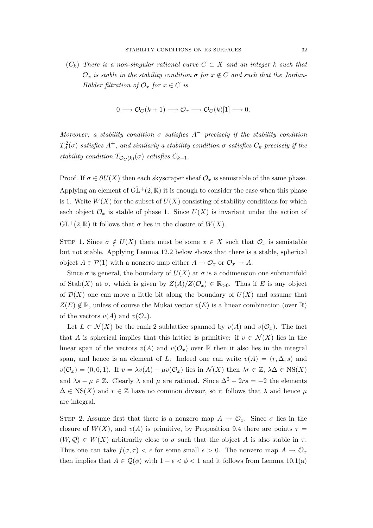$(C_k)$  There is a non-singular rational curve  $C \subset X$  and an integer k such that  $\mathcal{O}_x$  is stable in the stability condition  $\sigma$  for  $x \notin C$  and such that the Jordan-Hölder filtration of  $\mathcal{O}_x$  for  $x \in C$  is

$$
0 \longrightarrow \mathcal{O}_C(k+1) \longrightarrow \mathcal{O}_x \longrightarrow \mathcal{O}_C(k)[1] \longrightarrow 0.
$$

Moreover, a stability condition  $\sigma$  satisfies  $A^-$  precisely if the stability condition  $T_A^2(\sigma)$  satisfies  $A^+$ , and similarly a stability condition  $\sigma$  satisfies  $C_k$  precisely if the stability condition  $T_{\mathcal{O}_C(k)}(\sigma)$  satisfies  $C_{k-1}$ .

Proof. If  $\sigma \in \partial U(X)$  then each skyscraper sheaf  $\mathcal{O}_x$  is semistable of the same phase. Applying an element of  $GL^+(2,\mathbb{R})$  it is enough to consider the case when this phase is 1. Write  $W(X)$  for the subset of  $U(X)$  consisting of stability conditions for which each object  $\mathcal{O}_x$  is stable of phase 1. Since  $U(X)$  is invariant under the action of  $\tilde{\mathrm{GL}}^+(2,\mathbb{R})$  it follows that  $\sigma$  lies in the closure of  $W(X)$ .

STEP 1. Since  $\sigma \notin U(X)$  there must be some  $x \in X$  such that  $\mathcal{O}_x$  is semistable but not stable. Applying Lemma 12.2 below shows that there is a stable, spherical object  $A \in \mathcal{P}(1)$  with a nonzero map either  $A \to \mathcal{O}_x$  or  $\mathcal{O}_x \to A$ .

Since  $\sigma$  is general, the boundary of  $U(X)$  at  $\sigma$  is a codimension one submanifold of Stab(X) at  $\sigma$ , which is given by  $Z(A)/Z(\mathcal{O}_x) \in \mathbb{R}_{>0}$ . Thus if E is any object of  $\mathcal{D}(X)$  one can move a little bit along the boundary of  $U(X)$  and assume that  $Z(E) \notin \mathbb{R}$ , unless of course the Mukai vector  $v(E)$  is a linear combination (over  $\mathbb{R}$ ) of the vectors  $v(A)$  and  $v(\mathcal{O}_x)$ .

Let  $L \subset \mathcal{N}(X)$  be the rank 2 sublattice spanned by  $v(A)$  and  $v(\mathcal{O}_x)$ . The fact that A is spherical implies that this lattice is primitive: if  $v \in \mathcal{N}(X)$  lies in the linear span of the vectors  $v(A)$  and  $v(\mathcal{O}_x)$  over R then it also lies in the integral span, and hence is an element of L. Indeed one can write  $v(A) = (r, \Delta, s)$  and  $v(\mathcal{O}_x) = (0, 0, 1)$ . If  $v = \lambda v(A) + \mu v(\mathcal{O}_x)$  lies in  $\mathcal{N}(X)$  then  $\lambda r \in \mathbb{Z}, \lambda \Delta \in \text{NS}(X)$ and  $\lambda s - \mu \in \mathbb{Z}$ . Clearly  $\lambda$  and  $\mu$  are rational. Since  $\Delta^2 - 2rs = -2$  the elements  $\Delta \in \text{NS}(X)$  and  $r \in \mathbb{Z}$  have no common divisor, so it follows that  $\lambda$  and hence  $\mu$ are integral.

STEP 2. Assume first that there is a nonzero map  $A \to \mathcal{O}_x$ . Since  $\sigma$  lies in the closure of  $W(X)$ , and  $v(A)$  is primitive, by Proposition 9.4 there are points  $\tau =$  $(W, \mathcal{Q}) \in W(X)$  arbitrarily close to  $\sigma$  such that the object A is also stable in  $\tau$ . Thus one can take  $f(\sigma, \tau) < \epsilon$  for some small  $\epsilon > 0$ . The nonzero map  $A \to \mathcal{O}_x$ then implies that  $A \in \mathcal{Q}(\phi)$  with  $1 - \epsilon < \phi < 1$  and it follows from Lemma 10.1(a)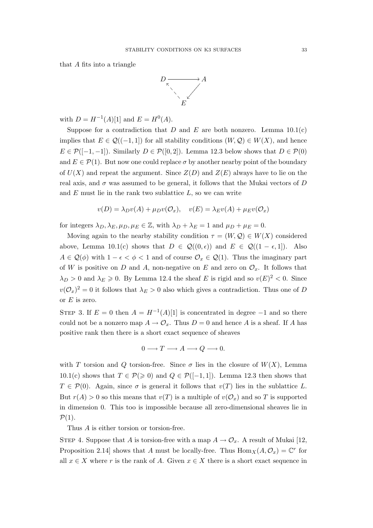that A fits into a triangle



with  $D = H^{-1}(A)[1]$  and  $E = H^{0}(A)$ .

Suppose for a contradiction that D and E are both nonzero. Lemma  $10.1(c)$ implies that  $E \in \mathcal{Q}((-1,1])$  for all stability conditions  $(W, \mathcal{Q}) \in W(X)$ , and hence  $E \in \mathcal{P}([-1,-1])$ . Similarly  $D \in \mathcal{P}([0,2])$ . Lemma 12.3 below shows that  $D \in \mathcal{P}(0)$ and  $E \in \mathcal{P}(1)$ . But now one could replace  $\sigma$  by another nearby point of the boundary of  $U(X)$  and repeat the argument. Since  $Z(D)$  and  $Z(E)$  always have to lie on the real axis, and  $\sigma$  was assumed to be general, it follows that the Mukai vectors of D and  $E$  must lie in the rank two sublattice  $L$ , so we can write

$$
v(D) = \lambda_D v(A) + \mu_D v(\mathcal{O}_x), \quad v(E) = \lambda_E v(A) + \mu_E v(\mathcal{O}_x)
$$

for integers  $\lambda_D, \lambda_E, \mu_D, \mu_E \in \mathbb{Z}$ , with  $\lambda_D + \lambda_E = 1$  and  $\mu_D + \mu_E = 0$ .

Moving again to the nearby stability condition  $\tau = (W, \mathcal{Q}) \in W(X)$  considered above, Lemma 10.1(c) shows that  $D \in \mathcal{Q}((0,\epsilon))$  and  $E \in \mathcal{Q}((1-\epsilon,1])$ . Also  $A \in \mathcal{Q}(\phi)$  with  $1 - \epsilon < \phi < 1$  and of course  $\mathcal{O}_x \in \mathcal{Q}(1)$ . Thus the imaginary part of W is positive on D and A, non-negative on E and zero on  $\mathcal{O}_x$ . It follows that  $\lambda_D > 0$  and  $\lambda_E \geq 0$ . By Lemma 12.4 the sheaf E is rigid and so  $v(E)^2 < 0$ . Since  $v(\mathcal{O}_x)^2 = 0$  it follows that  $\lambda_E > 0$  also which gives a contradiction. Thus one of D or  $E$  is zero.

STEP 3. If  $E = 0$  then  $A = H^{-1}(A)[1]$  is concentrated in degree -1 and so there could not be a nonzero map  $A \to \mathcal{O}_x$ . Thus  $D = 0$  and hence A is a sheaf. If A has positive rank then there is a short exact sequence of sheaves

$$
0 \longrightarrow T \longrightarrow A \longrightarrow Q \longrightarrow 0.
$$

with T torsion and Q torsion-free. Since  $\sigma$  lies in the closure of  $W(X)$ , Lemma 10.1(c) shows that  $T \in \mathcal{P}(\geq 0)$  and  $Q \in \mathcal{P}([-1,1])$ . Lemma 12.3 then shows that  $T \in \mathcal{P}(0)$ . Again, since  $\sigma$  is general it follows that  $v(T)$  lies in the sublattice L. But  $r(A) > 0$  so this means that  $v(T)$  is a multiple of  $v(\mathcal{O}_x)$  and so T is supported in dimension 0. This too is impossible because all zero-dimensional sheaves lie in  $\mathcal{P}(1)$ .

Thus A is either torsion or torsion-free.

STEP 4. Suppose that A is torsion-free with a map  $A \to \mathcal{O}_x$ . A result of Mukai [12, Proposition 2.14] shows that A must be locally-free. Thus  $\text{Hom}_X(A, \mathcal{O}_x) = \mathbb{C}^r$  for all  $x \in X$  where r is the rank of A. Given  $x \in X$  there is a short exact sequence in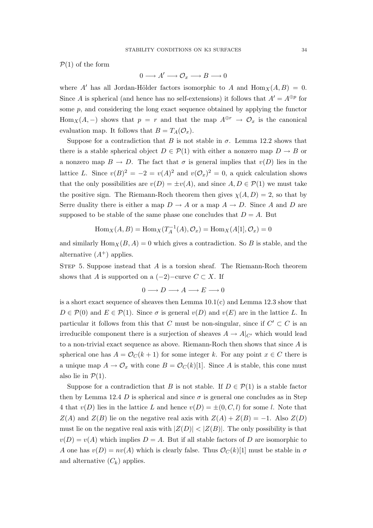$\mathcal{P}(1)$  of the form

 $0 \longrightarrow A' \longrightarrow \mathcal{O}_x \longrightarrow B \longrightarrow 0$ 

where A' has all Jordan-Hölder factors isomorphic to A and  $\text{Hom}_X(A, B) = 0$ . Since A is spherical (and hence has no self-extensions) it follows that  $A' = A^{\oplus p}$  for some  $p$ , and considering the long exact sequence obtained by applying the functor Hom<sub>X</sub>(A, –) shows that  $p = r$  and that the map  $A^{\oplus r} \to \mathcal{O}_x$  is the canonical evaluation map. It follows that  $B = T_A(\mathcal{O}_x)$ .

Suppose for a contradiction that B is not stable in  $\sigma$ . Lemma 12.2 shows that there is a stable spherical object  $D \in \mathcal{P}(1)$  with either a nonzero map  $D \to B$  or a nonzero map  $B \to D$ . The fact that  $\sigma$  is general implies that  $v(D)$  lies in the lattice L. Since  $v(B)^2 = -2 = v(A)^2$  and  $v(\mathcal{O}_x)^2 = 0$ , a quick calculation shows that the only possibilities are  $v(D) = \pm v(A)$ , and since  $A, D \in \mathcal{P}(1)$  we must take the positive sign. The Riemann-Roch theorem then gives  $\chi(A, D) = 2$ , so that by Serre duality there is either a map  $D \to A$  or a map  $A \to D$ . Since A and D are supposed to be stable of the same phase one concludes that  $D = A$ . But

$$
\operatorname{Hom}_X(A, B) = \operatorname{Hom}_X(T_A^{-1}(A), \mathcal{O}_x) = \operatorname{Hom}_X(A[1], \mathcal{O}_x) = 0
$$

and similarly  $\text{Hom}_X(B, A) = 0$  which gives a contradiction. So B is stable, and the alternative  $(A^+)$  applies.

STEP 5. Suppose instead that  $A$  is a torsion sheaf. The Riemann-Roch theorem shows that A is supported on a  $(-2)$ −curve  $C \subset X$ . If

$$
0 \longrightarrow D \longrightarrow A \longrightarrow E \longrightarrow 0
$$

is a short exact sequence of sheaves then Lemma  $10.1(c)$  and Lemma 12.3 show that  $D \in \mathcal{P}(0)$  and  $E \in \mathcal{P}(1)$ . Since  $\sigma$  is general  $v(D)$  and  $v(E)$  are in the lattice L. In particular it follows from this that C must be non-singular, since if  $C' \subset C$  is an irreducible component there is a surjection of sheaves  $A \to A|_{C'}$  which would lead to a non-trivial exact sequence as above. Riemann-Roch then shows that since A is spherical one has  $A = \mathcal{O}_C(k+1)$  for some integer k. For any point  $x \in C$  there is a unique map  $A \to \mathcal{O}_x$  with cone  $B = \mathcal{O}_C(k)[1]$ . Since A is stable, this cone must also lie in  $\mathcal{P}(1)$ .

Suppose for a contradiction that B is not stable. If  $D \in \mathcal{P}(1)$  is a stable factor then by Lemma 12.4 D is spherical and since  $\sigma$  is general one concludes as in Step 4 that  $v(D)$  lies in the lattice L and hence  $v(D) = \pm (0, C, l)$  for some l. Note that  $Z(A)$  and  $Z(B)$  lie on the negative real axis with  $Z(A) + Z(B) = -1$ . Also  $Z(D)$ must lie on the negative real axis with  $|Z(D)| < |Z(B)|$ . The only possibility is that  $v(D) = v(A)$  which implies  $D = A$ . But if all stable factors of D are isomorphic to A one has  $v(D) = nv(A)$  which is clearly false. Thus  $\mathcal{O}_C(k)[1]$  must be stable in  $\sigma$ and alternative  $(C_k)$  applies.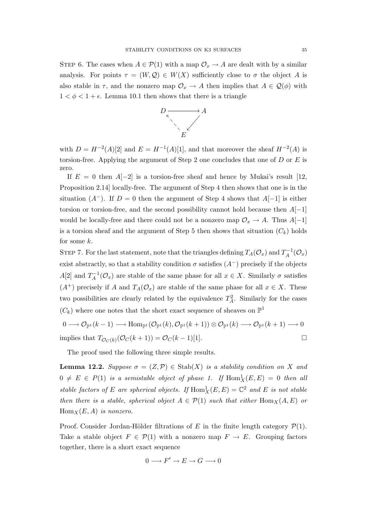STEP 6. The cases when  $A \in \mathcal{P}(1)$  with a map  $\mathcal{O}_x \to A$  are dealt with by a similar analysis. For points  $\tau = (W, \mathcal{Q}) \in W(X)$  sufficiently close to  $\sigma$  the object A is also stable in  $\tau$ , and the nonzero map  $\mathcal{O}_x \to A$  then implies that  $A \in \mathcal{Q}(\phi)$  with  $1 < \phi < 1 + \epsilon$ . Lemma 10.1 then shows that there is a triangle



with  $D = H^{-2}(A)[2]$  and  $E = H^{-1}(A)[1]$ , and that moreover the sheaf  $H^{-2}(A)$  is torsion-free. Applying the argument of Step 2 one concludes that one of  $D$  or  $E$  is zero.

If  $E = 0$  then  $A[-2]$  is a torsion-free sheaf and hence by Mukai's result [12, Proposition 2.14] locally-free. The argument of Step 4 then shows that one is in the situation  $(A^-)$ . If  $D = 0$  then the argument of Step 4 shows that  $A[-1]$  is either torsion or torsion-free, and the second possibility cannot hold because then  $A[-1]$ would be locally-free and there could not be a nonzero map  $\mathcal{O}_x \to A$ . Thus  $A[-1]$ is a torsion sheaf and the argument of Step 5 then shows that situation  $(C_k)$  holds for some  $k$ .

STEP 7. For the last statement, note that the triangles defining  $T_A(\mathcal{O}_x)$  and  $T_A^{-1}$  $J_A^{-1}(\mathcal{O}_x)$ exist abstractly, so that a stability condition  $\sigma$  satisfies  $(A^-)$  precisely if the objects  $A[2]$  and  $T_A^{-1}$  $\chi_A^{-1}(\mathcal{O}_x)$  are stable of the same phase for all  $x \in X$ . Similarly  $\sigma$  satisfies  $(A^+)$  precisely if A and  $T_A(\mathcal{O}_x)$  are stable of the same phase for all  $x \in X$ . These two possibilities are clearly related by the equivalence  $T_A^2$ . Similarly for the cases  $(C_k)$  where one notes that the short exact sequence of sheaves on  $\mathbb{P}^1$ 

$$
0 \longrightarrow \mathcal{O}_{\mathbb{P}^1}(k-1) \longrightarrow \text{Hom}_{\mathbb{P}^1}(\mathcal{O}_{\mathbb{P}^1}(k), \mathcal{O}_{\mathbb{P}^1}(k+1)) \otimes \mathcal{O}_{\mathbb{P}^1}(k) \longrightarrow \mathcal{O}_{\mathbb{P}^1}(k+1) \longrightarrow 0
$$
  
implies that  $T_{\mathcal{O}_C(k)}(\mathcal{O}_C(k+1)) = \mathcal{O}_C(k-1)[1].$ 

The proof used the following three simple results.

**Lemma 12.2.** Suppose  $\sigma = (Z, \mathcal{P}) \in \text{Stab}(X)$  is a stability condition on X and  $0 \neq E \in P(1)$  is a semistable object of phase 1. If  $\text{Hom}_X^1(E, E) = 0$  then all stable factors of E are spherical objects. If  $\text{Hom}_X^1(E, E) = \mathbb{C}^2$  and E is not stable then there is a stable, spherical object  $A \in \mathcal{P}(1)$  such that either  $\text{Hom}_X(A, E)$  or  $\text{Hom}_X(E, A)$  is nonzero.

Proof. Consider Jordan-Hölder filtrations of E in the finite length category  $\mathcal{P}(1)$ . Take a stable object  $F \in \mathcal{P}(1)$  with a nonzero map  $F \to E$ . Grouping factors together, there is a short exact sequence

$$
0 \longrightarrow F' \longrightarrow E \longrightarrow G \longrightarrow 0
$$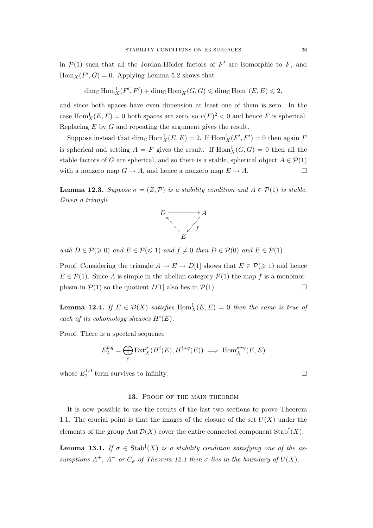in  $\mathcal{P}(1)$  such that all the Jordan-Hölder factors of  $F'$  are isomorphic to F, and  $\text{Hom}_X(F', G) = 0.$  Applying Lemma 5.2 shows that

$$
\dim_{\mathbb{C}} \text{Hom}^1_X(F', F') + \dim_{\mathbb{C}} \text{Hom}^1_X(G, G) \leq \dim_{\mathbb{C}} \text{Hom}^1(E, E) \leq 2,
$$

and since both spaces have even dimension at least one of them is zero. In the case  $\text{Hom}_X^1(E, E) = 0$  both spaces are zero, so  $v(F)^2 < 0$  and hence F is spherical. Replacing  $E$  by  $G$  and repeating the argument gives the result.

Suppose instead that  $\dim_{\mathbb{C}} \text{Hom}_X^1(E, E) = 2$ . If  $\text{Hom}_X^1(F', F') = 0$  then again F is spherical and setting  $A = F$  gives the result. If  $Hom_X^1(G, G) = 0$  then all the stable factors of G are spherical, and so there is a stable, spherical object  $A \in \mathcal{P}(1)$ with a nonzero map  $G \to A$ , and hence a nonzero map  $E \to A$ .  $\Box$ 

**Lemma 12.3.** Suppose  $\sigma = (Z, \mathcal{P})$  is a stability condition and  $A \in \mathcal{P}(1)$  is stable. Given a triangle



with  $D \in \mathcal{P}(\geqslant 0)$  and  $E \in \mathcal{P}(\leqslant 1)$  and  $f \neq 0$  then  $D \in \mathcal{P}(0)$  and  $E \in \mathcal{P}(1)$ .

Proof. Considering the triangle  $A \to E \to D[1]$  shows that  $E \in \mathcal{P}(\geq 1)$  and hence  $E \in \mathcal{P}(1)$ . Since A is simple in the abelian category  $\mathcal{P}(1)$  the map f is a monomorphism in  $\mathcal{P}(1)$  so the quotient  $D[1]$  also lies in  $\mathcal{P}(1)$ .

**Lemma 12.4.** If  $E \in \mathcal{D}(X)$  satisfies  $\text{Hom}_X^1(E, E) = 0$  then the same is true of each of its cohomology sheaves  $H^i(E)$ .

Proof. There is a spectral sequence

$$
E_2^{p,q} = \bigoplus_i \text{Ext}^p_X(H^i(E), H^{i+q}(E)) \implies \text{Hom}_X^{p+q}(E, E)
$$

whose  $E_2^{1,0}$  $\mathbb{Z}_2^{1,0}$  term survives to infinity.

### 13. PROOF OF THE MAIN THEOREM

It is now possible to use the results of the last two sections to prove Theorem 1.1. The crucial point is that the images of the closure of the set  $U(X)$  under the elements of the group  $\text{Aut }\mathcal{D}(X)$  cover the entire connected component  $\text{Stab}^{\dagger}(X)$ .

**Lemma 13.1.** If  $\sigma \in \text{Stab}^{\dagger}(X)$  is a stability condition satisfying one of the assumptions  $A^+$ ,  $A^-$  or  $C_k$  of Theorem 12.1 then  $\sigma$  lies in the boundary of  $U(X)$ .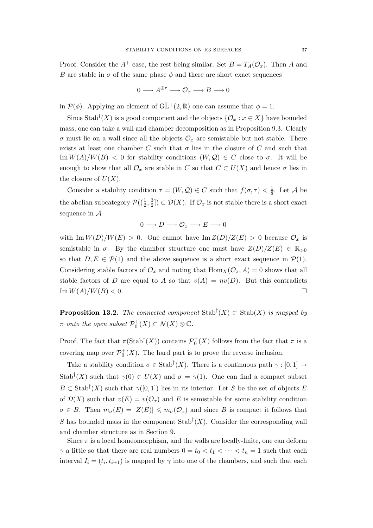Proof. Consider the  $A^+$  case, the rest being similar. Set  $B = T_A(\mathcal{O}_x)$ . Then A and B are stable in  $\sigma$  of the same phase  $\phi$  and there are short exact sequences

$$
0\longrightarrow A^{\oplus r}\longrightarrow \mathcal{O}_x\longrightarrow B\longrightarrow 0
$$

in  $\mathcal{P}(\phi)$ . Applying an element of  $\widetilde{GL}^+(2,\mathbb{R})$  one can assume that  $\phi=1$ .

Since Stab<sup>†</sup>(X) is a good component and the objects  $\{\mathcal{O}_x : x \in X\}$  have bounded mass, one can take a wall and chamber decomposition as in Proposition 9.3. Clearly  $\sigma$  must lie on a wall since all the objects  $\mathcal{O}_x$  are semistable but not stable. There exists at least one chamber C such that  $\sigma$  lies in the closure of C and such that  $\text{Im} W(A)/W(B) < 0$  for stability conditions  $(W, \mathcal{Q}) \in C$  close to  $\sigma$ . It will be enough to show that all  $\mathcal{O}_x$  are stable in C so that  $C \subset U(X)$  and hence  $\sigma$  lies in the closure of  $U(X)$ .

Consider a stability condition  $\tau = (W, \mathcal{Q}) \in C$  such that  $f(\sigma, \tau) < \frac{1}{8}$  $\frac{1}{8}$ . Let A be the abelian subcategory  $\mathcal{P}((\frac{1}{2}, \frac{3}{2}))$  $(\frac{3}{2}]) \subset \mathcal{D}(X)$ . If  $\mathcal{O}_x$  is not stable there is a short exact sequence in A

$$
0\longrightarrow D\longrightarrow \mathcal{O}_x\longrightarrow E\longrightarrow 0
$$

with Im  $W(D)/W(E) > 0$ . One cannot have Im  $Z(D)/Z(E) > 0$  because  $\mathcal{O}_x$  is semistable in  $\sigma$ . By the chamber structure one must have  $Z(D)/Z(E) \in \mathbb{R}_{>0}$ so that  $D, E \in \mathcal{P}(1)$  and the above sequence is a short exact sequence in  $\mathcal{P}(1)$ . Considering stable factors of  $\mathcal{O}_x$  and noting that  $\text{Hom}_X(\mathcal{O}_x, A) = 0$  shows that all stable factors of D are equal to A so that  $v(A) = nv(D)$ . But this contradicts  $\operatorname{Im} W(A)/W(B) < 0.$ 

**Proposition 13.2.** The connected component  $\text{Stab}^{\dagger}(X) \subset \text{Stab}(X)$  is mapped by  $\pi$  onto the open subset  $\mathcal{P}_0^+(X) \subset \mathcal{N}(X) \otimes \mathbb{C}$ .

Proof. The fact that  $\pi(\text{Stab}^{\dagger}(X))$  contains  $\mathcal{P}_0^+(X)$  follows from the fact that  $\pi$  is a covering map over  $\mathcal{P}_0^+(X)$ . The hard part is to prove the reverse inclusion.

Take a stability condition  $\sigma \in \text{Stab}^{\dagger}(X)$ . There is a continuous path  $\gamma : [0,1] \to$ Stab<sup>†</sup>(X) such that  $\gamma(0) \in U(X)$  and  $\sigma = \gamma(1)$ . One can find a compact subset  $B \subset$  Stab<sup>†</sup>(X) such that  $\gamma([0,1])$  lies in its interior. Let S be the set of objects E of  $\mathcal{D}(X)$  such that  $v(E) = v(\mathcal{O}_x)$  and E is semistable for some stability condition  $\sigma \in B$ . Then  $m_{\sigma}(E) = |Z(E)| \leq m_{\sigma}(\mathcal{O}_x)$  and since B is compact it follows that S has bounded mass in the component  $\text{Stab}^{\dagger}(X)$ . Consider the corresponding wall and chamber structure as in Section 9.

Since  $\pi$  is a local homeomorphism, and the walls are locally-finite, one can deform  $\gamma$  a little so that there are real numbers  $0 = t_0 < t_1 < \cdots < t_n = 1$  such that each interval  $I_i = (t_i, t_{i+1})$  is mapped by  $\gamma$  into one of the chambers, and such that each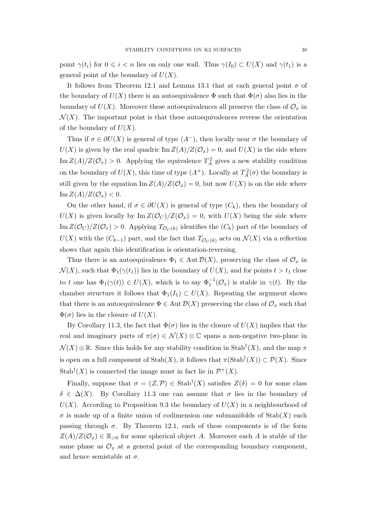point  $\gamma(t_i)$  for  $0 \leq i < n$  lies on only one wall. Thus  $\gamma(I_0) \subset U(X)$  and  $\gamma(t_1)$  is a general point of the boundary of  $U(X)$ .

It follows from Theorem 12.1 and Lemma 13.1 that at each general point  $\sigma$  of the boundary of  $U(X)$  there is an autoequivalence  $\Phi$  such that  $\Phi(\sigma)$  also lies in the boundary of  $U(X)$ . Moreover these autoequivalences all preserve the class of  $\mathcal{O}_x$  in  $\mathcal{N}(X)$ . The important point is that these autoequivalences reverse the orientation of the boundary of  $U(X)$ .

Thus if  $\sigma \in \partial U(X)$  is general of type  $(A^-)$ , then locally near  $\sigma$  the boundary of  $U(X)$  is given by the real quadric Im  $Z(A)/Z(\mathcal{O}_x) = 0$ , and  $U(X)$  is the side where Im  $Z(A)/Z(\mathcal{O}_x) > 0$ . Applying the equivalence  $T_A^2$  gives a new stability condition on the boundary of  $U(X)$ , this time of type  $(A^+)$ . Locally at  $T_A^2(\sigma)$  the boundary is still given by the equation  $\text{Im }Z(A)/Z(\mathcal{O}_x)=0$ , but now  $U(X)$  is on the side where  $\text{Im }Z(A)/Z(\mathcal{O}_x) < 0.$ 

On the other hand, if  $\sigma \in \partial U(X)$  is general of type  $(C_k)$ , then the boundary of  $U(X)$  is given locally by Im  $Z(\mathcal{O}_C)/Z(\mathcal{O}_x) = 0$ , with  $U(X)$  being the side where Im  $Z(\mathcal{O}_C)/Z(\mathcal{O}_x) > 0$ . Applying  $T_{\mathcal{O}_C(k)}$  identifies the  $(C_k)$  part of the boundary of  $U(X)$  with the  $(C_{k-1})$  part, and the fact that  $T_{\mathcal{O}_C(k)}$  acts on  $\mathcal{N}(X)$  via a reflection shows that again this identification is orientation-reversing.

Thus there is an autoequivalence  $\Phi_1 \in \text{Aut}\,\mathcal{D}(X)$ , preserving the class of  $\mathcal{O}_x$  in  $\mathcal{N}(X)$ , such that  $\Phi_1(\gamma(t_1))$  lies in the boundary of  $U(X)$ , and for points  $t > t_1$  close to t one has  $\Phi_1(\gamma(t)) \in U(X)$ , which is to say  $\Phi_1^{-1}(\mathcal{O}_x)$  is stable in  $\gamma(t)$ . By the chamber structure it follows that  $\Phi_1(I_1) \subset U(X)$ . Repeating the argument shows that there is an autoequivalence  $\Phi \in \text{Aut } \mathcal{D}(X)$  preserving the class of  $\mathcal{O}_x$  such that  $\Phi(\sigma)$  lies in the closure of  $U(X)$ .

By Corollary 11.3, the fact that  $\Phi(\sigma)$  lies in the closure of  $U(X)$  implies that the real and imaginary parts of  $\pi(\sigma) \in \mathcal{N}(X) \otimes \mathbb{C}$  spans a non-negative two-plane in  $\mathcal{N}(X) \otimes \mathbb{R}$ . Since this holds for any stability condition in Stab<sup>†</sup> $(X)$ , and the map  $\pi$ is open on a full component of  $\text{Stab}(X)$ , it follows that  $\pi(\text{Stab}^{\dagger}(X)) \subset \mathcal{P}(X)$ . Since Stab<sup>†</sup>(X) is connected the image must in fact lie in  $\mathcal{P}^+(X)$ .

Finally, suppose that  $\sigma = (Z, \mathcal{P}) \in$  Stab<sup>†</sup> $(X)$  satisfies  $Z(\delta) = 0$  for some class  $\delta \in \Delta(X)$ . By Corollary 11.3 one can assume that  $\sigma$  lies in the boundary of  $U(X)$ . According to Proposition 9.3 the boundary of  $U(X)$  in a neighbourhood of  $\sigma$  is made up of a finite union of codimension one submanifolds of Stab(X) each passing through  $\sigma$ . By Theorem 12.1, each of these components is of the form  $Z(A)/Z(\mathcal{O}_x) \in \mathbb{R}_{\geq 0}$  for some spherical object A. Moreover each A is stable of the same phase as  $\mathcal{O}_x$  at a general point of the corresponding boundary component, and hence semistable at  $\sigma$ .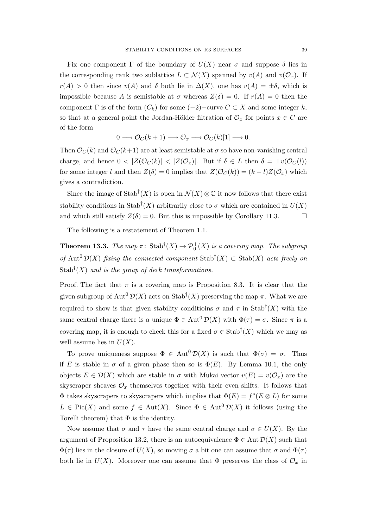Fix one component  $\Gamma$  of the boundary of  $U(X)$  near  $\sigma$  and suppose  $\delta$  lies in the corresponding rank two sublattice  $L \subset \mathcal{N}(X)$  spanned by  $v(A)$  and  $v(\mathcal{O}_x)$ . If  $r(A) > 0$  then since  $v(A)$  and  $\delta$  both lie in  $\Delta(X)$ , one has  $v(A) = \pm \delta$ , which is impossible because A is semistable at  $\sigma$  whereas  $Z(\delta) = 0$ . If  $r(A) = 0$  then the component  $\Gamma$  is of the form  $(C_k)$  for some  $(-2)$ −curve  $C \subset X$  and some integer k, so that at a general point the Jordan-Hölder filtration of  $\mathcal{O}_x$  for points  $x \in C$  are of the form

$$
0 \longrightarrow \mathcal{O}_C(k+1) \longrightarrow \mathcal{O}_x \longrightarrow \mathcal{O}_C(k)[1] \longrightarrow 0.
$$

Then  $\mathcal{O}_C(k)$  and  $\mathcal{O}_C(k+1)$  are at least semistable at  $\sigma$  so have non-vanishing central charge, and hence  $0 < |Z(\mathcal{O}_C(k))| < |Z(\mathcal{O}_x)|$ . But if  $\delta \in L$  then  $\delta = \pm v(\mathcal{O}_C(l))$ for some integer l and then  $Z(\delta) = 0$  implies that  $Z(\mathcal{O}_C(k)) = (k - l)Z(\mathcal{O}_x)$  which gives a contradiction.

Since the image of Stab<sup>†</sup> $(X)$  is open in  $\mathcal{N}(X) \otimes \mathbb{C}$  it now follows that there exist stability conditions in Stab<sup>†</sup> $(X)$  arbitrarily close to  $\sigma$  which are contained in  $U(X)$ and which still satisfy  $Z(\delta) = 0$ . But this is impossible by Corollary 11.3.

The following is a restatement of Theorem 1.1.

**Theorem 13.3.** The map  $\pi$ : Stab<sup>†</sup> $(X) \to \mathcal{P}_0^+(X)$  is a covering map. The subgroup of Aut<sup>0</sup>  $\mathcal{D}(X)$  fixing the connected component Stab<sup>†</sup> $(X) \subset$  Stab $(X)$  acts freely on Stab<sup>†</sup> $(X)$  and is the group of deck transformations.

Proof. The fact that  $\pi$  is a covering map is Proposition 8.3. It is clear that the given subgroup of Aut<sup>0</sup>  $\mathcal{D}(X)$  acts on Stab<sup>†</sup>(X) preserving the map  $\pi$ . What we are required to show is that given stability conditions  $\sigma$  and  $\tau$  in Stab<sup>†</sup>(X) with the same central charge there is a unique  $\Phi \in \text{Aut}^{0} \mathcal{D}(X)$  with  $\Phi(\tau) = \sigma$ . Since  $\pi$  is a covering map, it is enough to check this for a fixed  $\sigma \in \text{Stab}^{\dagger}(X)$  which we may as well assume lies in  $U(X)$ .

To prove uniqueness suppose  $\Phi \in \text{Aut}^0\mathcal{D}(X)$  is such that  $\Phi(\sigma) = \sigma$ . Thus if E is stable in  $\sigma$  of a given phase then so is  $\Phi(E)$ . By Lemma 10.1, the only objects  $E \in \mathcal{D}(X)$  which are stable in  $\sigma$  with Mukai vector  $v(E) = v(\mathcal{O}_x)$  are the skyscraper sheaves  $\mathcal{O}_x$  themselves together with their even shifts. It follows that  $\Phi$  takes skyscrapers to skyscrapers which implies that  $\Phi(E) = f^*(E \otimes L)$  for some  $L \in Pic(X)$  and some  $f \in Aut(X)$ . Since  $\Phi \in Aut^0(\mathcal{D}(X))$  it follows (using the Torelli theorem) that  $\Phi$  is the identity.

Now assume that  $\sigma$  and  $\tau$  have the same central charge and  $\sigma \in U(X)$ . By the argument of Proposition 13.2, there is an autoequivalence  $\Phi \in \text{Aut } \mathcal{D}(X)$  such that  $\Phi(\tau)$  lies in the closure of  $U(X)$ , so moving  $\sigma$  a bit one can assume that  $\sigma$  and  $\Phi(\tau)$ both lie in  $U(X)$ . Moreover one can assume that  $\Phi$  preserves the class of  $\mathcal{O}_x$  in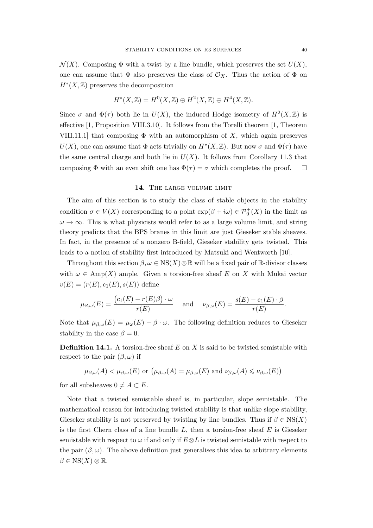$\mathcal{N}(X)$ . Composing  $\Phi$  with a twist by a line bundle, which preserves the set  $U(X)$ , one can assume that  $\Phi$  also preserves the class of  $\mathcal{O}_X$ . Thus the action of  $\Phi$  on  $H^*(X,\mathbb{Z})$  preserves the decomposition

$$
H^*(X,\mathbb{Z}) = H^0(X,\mathbb{Z}) \oplus H^2(X,\mathbb{Z}) \oplus H^4(X,\mathbb{Z}).
$$

Since  $\sigma$  and  $\Phi(\tau)$  both lie in  $U(X)$ , the induced Hodge isometry of  $H^2(X,\mathbb{Z})$  is effective [1, Proposition VIII.3.10]. It follows from the Torelli theorem [1, Theorem VIII.11.1] that composing  $\Phi$  with an automorphism of X, which again preserves  $U(X)$ , one can assume that  $\Phi$  acts trivially on  $H^*(X, \mathbb{Z})$ . But now  $\sigma$  and  $\Phi(\tau)$  have the same central charge and both lie in  $U(X)$ . It follows from Corollary 11.3 that composing  $\Phi$  with an even shift one has  $\Phi(\tau) = \sigma$  which completes the proof.  $\Box$ 

#### 14. THE LARGE VOLUME LIMIT

The aim of this section is to study the class of stable objects in the stability condition  $\sigma \in V(X)$  corresponding to a point  $\exp(\beta + i\omega) \in \mathcal{P}_0^+(X)$  in the limit as  $\omega \to \infty$ . This is what physicists would refer to as a large volume limit, and string theory predicts that the BPS branes in this limit are just Gieseker stable sheaves. In fact, in the presence of a nonzero B-field, Gieseker stability gets twisted. This leads to a notion of stability first introduced by Matsuki and Wentworth [10].

Throughout this section  $\beta, \omega \in \text{NS}(X) \otimes \mathbb{R}$  will be a fixed pair of R-divisor classes with  $\omega \in \text{Amp}(X)$  ample. Given a torsion-free sheaf E on X with Mukai vector  $v(E) = (r(E), c_1(E), s(E))$  define

$$
\mu_{\beta,\omega}(E) = \frac{(c_1(E) - r(E)\beta) \cdot \omega}{r(E)}
$$
 and  $\nu_{\beta,\omega}(E) = \frac{s(E) - c_1(E) \cdot \beta}{r(E)}$ .

Note that  $\mu_{\beta,\omega}(E) = \mu_{\omega}(E) - \beta \cdot \omega$ . The following definition reduces to Gieseker stability in the case  $\beta = 0$ .

**Definition 14.1.** A torsion-free sheaf  $E$  on  $X$  is said to be twisted semistable with respect to the pair  $(\beta, \omega)$  if

$$
\mu_{\beta,\omega}(A) < \mu_{\beta,\omega}(E)
$$
 or  $(\mu_{\beta,\omega}(A) = \mu_{\beta,\omega}(E)$  and  $\nu_{\beta,\omega}(A) \leq \nu_{\beta,\omega}(E)$ )

for all subsheaves  $0 \neq A \subset E$ .

Note that a twisted semistable sheaf is, in particular, slope semistable. The mathematical reason for introducing twisted stability is that unlike slope stability, Gieseker stability is not preserved by twisting by line bundles. Thus if  $\beta \in \text{NS}(X)$ is the first Chern class of a line bundle  $L$ , then a torsion-free sheaf  $E$  is Gieseker semistable with respect to  $\omega$  if and only if  $E \otimes L$  is twisted semistable with respect to the pair  $(\beta, \omega)$ . The above definition just generalises this idea to arbitrary elements  $\beta \in \text{NS}(X) \otimes \mathbb{R}$ .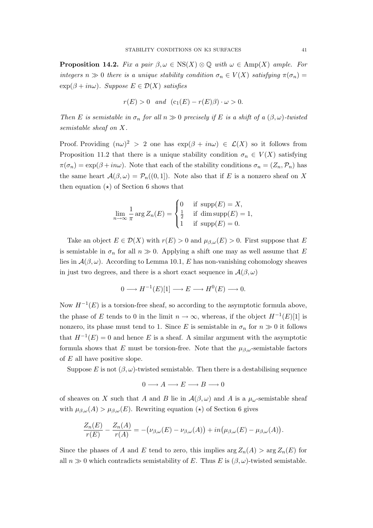**Proposition 14.2.** Fix a pair  $\beta, \omega \in \text{NS}(X) \otimes \mathbb{Q}$  with  $\omega \in \text{Amp}(X)$  ample. For integers  $n \gg 0$  there is a unique stability condition  $\sigma_n \in V(X)$  satisfying  $\pi(\sigma_n) =$  $\exp(\beta + i n\omega)$ . Suppose  $E \in \mathcal{D}(X)$  satisfies

$$
r(E) > 0 \quad and \quad (c_1(E) - r(E)\beta) \cdot \omega > 0.
$$

Then E is semistable in  $\sigma_n$  for all  $n \gg 0$  precisely if E is a shift of a  $(\beta, \omega)$ -twisted semistable sheaf on X.

Proof. Providing  $(n\omega)^2 > 2$  one has  $\exp(\beta + in\omega) \in \mathcal{L}(X)$  so it follows from Proposition 11.2 that there is a unique stability condition  $\sigma_n \in V(X)$  satisfying  $\pi(\sigma_n) = \exp(\beta + i n \omega)$ . Note that each of the stability conditions  $\sigma_n = (Z_n, \mathcal{P}_n)$  has the same heart  $\mathcal{A}(\beta,\omega) = \mathcal{P}_n((0,1])$ . Note also that if E is a nonzero sheaf on X then equation  $(\star)$  of Section 6 shows that

$$
\lim_{n \to \infty} \frac{1}{\pi} \arg Z_n(E) = \begin{cases} 0 & \text{if } \text{supp}(E) = X, \\ \frac{1}{2} & \text{if } \dim \text{supp}(E) = 1, \\ 1 & \text{if } \text{supp}(E) = 0. \end{cases}
$$

Take an object  $E \in \mathcal{D}(X)$  with  $r(E) > 0$  and  $\mu_{\beta,\omega}(E) > 0$ . First suppose that E is semistable in  $\sigma_n$  for all  $n \gg 0$ . Applying a shift one may as well assume that E lies in  $\mathcal{A}(\beta,\omega)$ . According to Lemma 10.1, E has non-vanishing cohomology sheaves in just two degrees, and there is a short exact sequence in  $\mathcal{A}(\beta,\omega)$ 

$$
0 \longrightarrow H^{-1}(E)[1] \longrightarrow E \longrightarrow H^0(E) \longrightarrow 0.
$$

Now  $H^{-1}(E)$  is a torsion-free sheaf, so according to the asymptotic formula above, the phase of E tends to 0 in the limit  $n \to \infty$ , whereas, if the object  $H^{-1}(E)[1]$  is nonzero, its phase must tend to 1. Since E is semistable in  $\sigma_n$  for  $n \gg 0$  it follows that  $H^{-1}(E) = 0$  and hence E is a sheaf. A similar argument with the asymptotic formula shows that E must be torsion-free. Note that the  $\mu_{\beta,\omega}$ -semistable factors of E all have positive slope.

Suppose E is not  $(\beta, \omega)$ -twisted semistable. Then there is a destabilising sequence

$$
0 \longrightarrow A \longrightarrow E \longrightarrow B \longrightarrow 0
$$

of sheaves on X such that A and B lie in  $\mathcal{A}(\beta,\omega)$  and A is a  $\mu_{\omega}$ -semistable sheaf with  $\mu_{\beta,\omega}(A) > \mu_{\beta,\omega}(E)$ . Rewriting equation (\*) of Section 6 gives

$$
\frac{Z_n(E)}{r(E)} - \frac{Z_n(A)}{r(A)} = -(\nu_{\beta,\omega}(E) - \nu_{\beta,\omega}(A)) + in(\mu_{\beta,\omega}(E) - \mu_{\beta,\omega}(A)).
$$

Since the phases of A and E tend to zero, this implies  $\arg Z_n(A) > \arg Z_n(E)$  for all  $n \gg 0$  which contradicts semistability of E. Thus E is  $(\beta, \omega)$ -twisted semistable.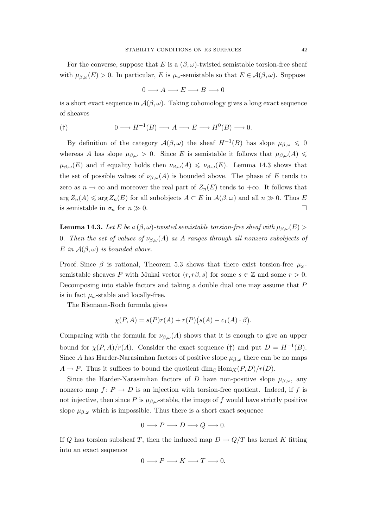For the converse, suppose that E is a  $(\beta, \omega)$ -twisted semistable torsion-free sheaf with  $\mu_{\beta,\omega}(E) > 0$ . In particular, E is  $\mu_{\omega}$ -semistable so that  $E \in \mathcal{A}(\beta,\omega)$ . Suppose

$$
0 \longrightarrow A \longrightarrow E \longrightarrow B \longrightarrow 0
$$

is a short exact sequence in  $\mathcal{A}(\beta,\omega)$ . Taking cohomology gives a long exact sequence of sheaves

$$
(\dagger) \qquad \qquad 0 \longrightarrow H^{-1}(B) \longrightarrow A \longrightarrow E \longrightarrow H^0(B) \longrightarrow 0.
$$

By definition of the category  $\mathcal{A}(\beta,\omega)$  the sheaf  $H^{-1}(B)$  has slope  $\mu_{\beta,\omega} \leq 0$ whereas A has slope  $\mu_{\beta,\omega} > 0$ . Since E is semistable it follows that  $\mu_{\beta,\omega}(A) \leq$  $\mu_{\beta,\omega}(E)$  and if equality holds then  $\nu_{\beta,\omega}(A) \leq \nu_{\beta,\omega}(E)$ . Lemma 14.3 shows that the set of possible values of  $\nu_{\beta,\omega}(A)$  is bounded above. The phase of E tends to zero as  $n \to \infty$  and moreover the real part of  $Z_n(E)$  tends to  $+\infty$ . It follows that  $\arg Z_n(A) \leq \arg Z_n(E)$  for all subobjects  $A \subset E$  in  $\mathcal{A}(\beta,\omega)$  and all  $n \gg 0$ . Thus E is semistable in  $\sigma_n$  for  $n \gg 0$ .

**Lemma 14.3.** Let E be a  $(\beta, \omega)$ -twisted semistable torsion-free sheaf with  $\mu_{\beta,\omega}(E)$ 0. Then the set of values of  $\nu_{\beta,\omega}(A)$  as A ranges through all nonzero subobjects of E in  $\mathcal{A}(\beta,\omega)$  is bounded above.

Proof. Since  $\beta$  is rational, Theorem 5.3 shows that there exist torsion-free  $\mu_{\omega}$ semistable sheaves P with Mukai vector  $(r, r\beta, s)$  for some  $s \in \mathbb{Z}$  and some  $r > 0$ . Decomposing into stable factors and taking a double dual one may assume that P is in fact  $\mu_{\omega}$ -stable and locally-free.

The Riemann-Roch formula gives

$$
\chi(P, A) = s(P)r(A) + r(P)(s(A) - c_1(A) \cdot \beta).
$$

Comparing with the formula for  $\nu_{\beta,\omega}(A)$  shows that it is enough to give an upper bound for  $\chi(P,A)/r(A)$ . Consider the exact sequence (†) and put  $D = H^{-1}(B)$ . Since A has Harder-Narasimhan factors of positive slope  $\mu_{\beta,\omega}$  there can be no maps  $A \to P$ . Thus it suffices to bound the quotient dim<sub>C</sub> Hom<sub>X</sub>(P, D)/r(D).

Since the Harder-Narasimhan factors of D have non-positive slope  $\mu_{\beta,\omega}$ , any nonzero map  $f: P \to D$  is an injection with torsion-free quotient. Indeed, if f is not injective, then since P is  $\mu_{\beta,\omega}$ -stable, the image of f would have strictly positive slope  $\mu_{\beta,\omega}$  which is impossible. Thus there is a short exact sequence

$$
0 \longrightarrow P \longrightarrow D \longrightarrow Q \longrightarrow 0.
$$

If Q has torsion subsheaf T, then the induced map  $D \to Q/T$  has kernel K fitting into an exact sequence

$$
0 \longrightarrow P \longrightarrow K \longrightarrow T \longrightarrow 0.
$$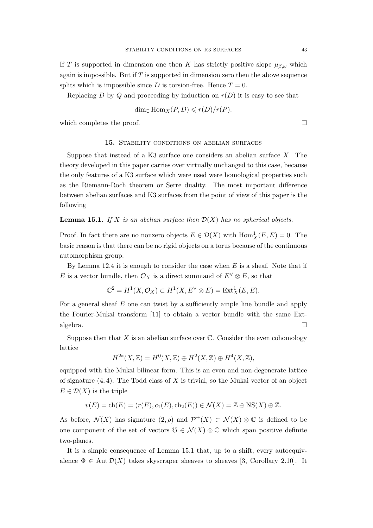If T is supported in dimension one then K has strictly positive slope  $\mu_{\beta,\omega}$  which again is impossible. But if  $T$  is supported in dimension zero then the above sequence splits which is impossible since D is torsion-free. Hence  $T = 0$ .

Replacing D by Q and proceeding by induction on  $r(D)$  it is easy to see that

$$
\dim_{\mathbb{C}} \text{Hom}_X(P, D) \leqslant r(D)/r(P).
$$

which completes the proof.  $\Box$ 

# 15. STABILITY CONDITIONS ON ABELIAN SURFACES

Suppose that instead of a K3 surface one considers an abelian surface  $X$ . The theory developed in this paper carries over virtually unchanged to this case, because the only features of a K3 surface which were used were homological properties such as the Riemann-Roch theorem or Serre duality. The most important difference between abelian surfaces and K3 surfaces from the point of view of this paper is the following

## **Lemma 15.1.** If X is an abelian surface then  $\mathcal{D}(X)$  has no spherical objects.

Proof. In fact there are no nonzero objects  $E \in \mathcal{D}(X)$  with  $\text{Hom}_X^1(E, E) = 0$ . The basic reason is that there can be no rigid objects on a torus because of the continuous automorphism group.

By Lemma 12.4 it is enough to consider the case when  $E$  is a sheaf. Note that if E is a vector bundle, then  $\mathcal{O}_X$  is a direct summand of  $E^{\vee} \otimes E$ , so that

$$
\mathbb{C}^2 = H^1(X, \mathcal{O}_X) \subset H^1(X, E^{\vee} \otimes E) = \text{Ext}^1_X(E, E).
$$

For a general sheaf  $E$  one can twist by a sufficiently ample line bundle and apply the Fourier-Mukai transform [11] to obtain a vector bundle with the same Extalgebra.  $\Box$ 

Suppose then that X is an abelian surface over  $\mathbb C$ . Consider the even cohomology lattice

$$
H^{2*}(X,\mathbb{Z}) = H^0(X,\mathbb{Z}) \oplus H^2(X,\mathbb{Z}) \oplus H^4(X,\mathbb{Z}),
$$

equipped with the Mukai bilinear form. This is an even and non-degenerate lattice of signature  $(4, 4)$ . The Todd class of X is trivial, so the Mukai vector of an object  $E \in \mathcal{D}(X)$  is the triple

$$
v(E) = ch(E) = (r(E), c_1(E), ch_2(E)) \in \mathcal{N}(X) = \mathbb{Z} \oplus \text{NS}(X) \oplus \mathbb{Z}.
$$

As before,  $\mathcal{N}(X)$  has signature  $(2,\rho)$  and  $\mathcal{P}^+(X) \subset \mathcal{N}(X) \otimes \mathbb{C}$  is defined to be one component of the set of vectors  $\mathcal{O} \in \mathcal{N}(X) \otimes \mathbb{C}$  which span positive definite two-planes.

It is a simple consequence of Lemma 15.1 that, up to a shift, every autoequivalence  $\Phi \in \text{Aut}\,\mathcal{D}(X)$  takes skyscraper sheaves to sheaves [3, Corollary 2.10]. It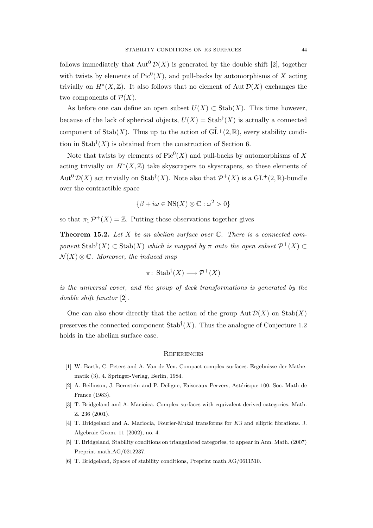follows immediately that  $\text{Aut}^0 \mathcal{D}(X)$  is generated by the double shift [2], together with twists by elements of  $Pic^0(X)$ , and pull-backs by automorphisms of X acting trivially on  $H^*(X,\mathbb{Z})$ . It also follows that no element of Aut  $\mathcal{D}(X)$  exchanges the two components of  $\mathcal{P}(X)$ .

As before one can define an open subset  $U(X) \subset \text{Stab}(X)$ . This time however, because of the lack of spherical objects,  $U(X) = \text{Stab}^{\dagger}(X)$  is actually a connected component of Stab(X). Thus up to the action of  $\tilde{GL}^+(2,\mathbb{R})$ , every stability condition in Stab<sup>†</sup> $(X)$  is obtained from the construction of Section 6.

Note that twists by elements of  $Pic^0(X)$  and pull-backs by automorphisms of X acting trivially on  $H^*(X,\mathbb{Z})$  take skyscrapers to skyscrapers, so these elements of Aut<sup>0</sup>  $\mathcal{D}(X)$  act trivially on Stab<sup>†</sup>(X). Note also that  $\mathcal{P}^+(X)$  is a GL<sup>+</sup>(2, R)-bundle over the contractible space

$$
\{\beta + i\omega \in \text{NS}(X) \otimes \mathbb{C} : \omega^2 > 0\}
$$

so that  $\pi_1 \mathcal{P}^+(X) = \mathbb{Z}$ . Putting these observations together gives

**Theorem 15.2.** Let X be an abelian surface over  $\mathbb{C}$ . There is a connected component  $\text{Stab}^{\dagger}(X) \subset \text{Stab}(X)$  which is mapped by  $\pi$  onto the open subset  $\mathcal{P}^+(X) \subset$  $\mathcal{N}(X) \otimes \mathbb{C}$ . Moreover, the induced map

$$
\pi\colon\operatorname{Stab}^{\dagger}(X)\longrightarrow\mathcal{P}^{+}(X)
$$

is the universal cover, and the group of deck transformations is generated by the double shift functor [2].

One can also show directly that the action of the group  $\text{Aut }\mathcal{D}(X)$  on  $\text{Stab}(X)$ preserves the connected component  $\text{Stab}^{\dagger}(X)$ . Thus the analogue of Conjecture 1.2 holds in the abelian surface case.

### **REFERENCES**

- [1] W. Barth, C. Peters and A. Van de Ven, Compact complex surfaces. Ergebnisse der Mathematik (3), 4. Springer-Verlag, Berlin, 1984.
- [2] A. Beilinson, J. Bernstein and P. Deligne, Faisceaux Pervers, Astérisque 100, Soc. Math de France (1983).
- [3] T. Bridgeland and A. Macioica, Complex surfaces with equivalent derived categories, Math. Z. 236 (2001).
- [4] T. Bridgeland and A. Maciocia, Fourier-Mukai transforms for K3 and elliptic fibrations. J. Algebraic Geom. 11 (2002), no. 4.
- [5] T. Bridgeland, Stability conditions on triangulated categories, to appear in Ann. Math. (2007) Preprint math.AG/0212237.
- [6] T. Bridgeland, Spaces of stability conditions, Preprint math.AG/0611510.